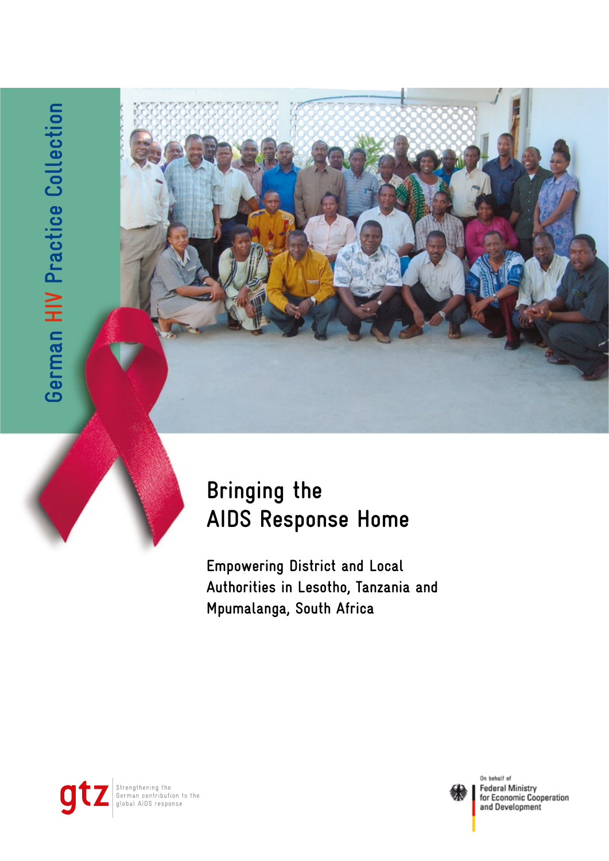

# **Bringing the AIDS Response Home**

**Empowering District and Local Authorities in Lesotho, Tanzania and Mpumalanga, South Africa** 





On behalf of **Federal Ministry** for Economic Cooperation and Development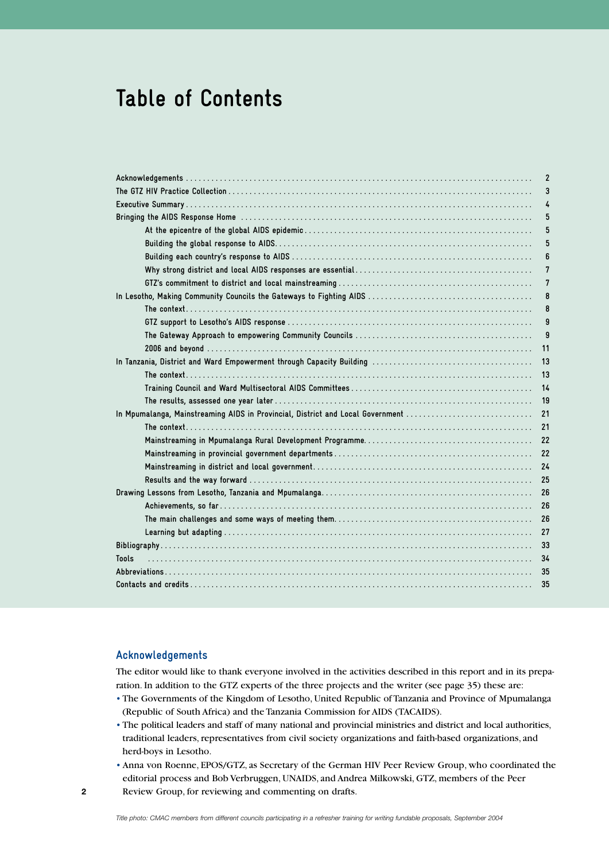# **Table of Contents**

### **Acknowledgements**

The editor would like to thank everyone involved in the activities described in this report and in its preparation. In addition to the GTZ experts of the three projects and the writer (see page 35) these are:

- The Governments of the Kingdom of Lesotho, United Republic of Tanzania and Province of Mpumalanga (Republic of South Africa) and the Tanzania Commission for AIDS (TACAIDS).
- The political leaders and staff of many national and provincial ministries and district and local authorities, traditional leaders, representatives from civil society organizations and faith-based organizations, and herd-boys in Lesotho.
- Anna von Roenne, EPOS/GTZ, as Secretary of the German HIV Peer Review Group, who coordinated the editorial process and Bob Verbruggen, UNAIDS, and Andrea Milkowski, GTZ, members of the Peer Review Group, for reviewing and commenting on drafts.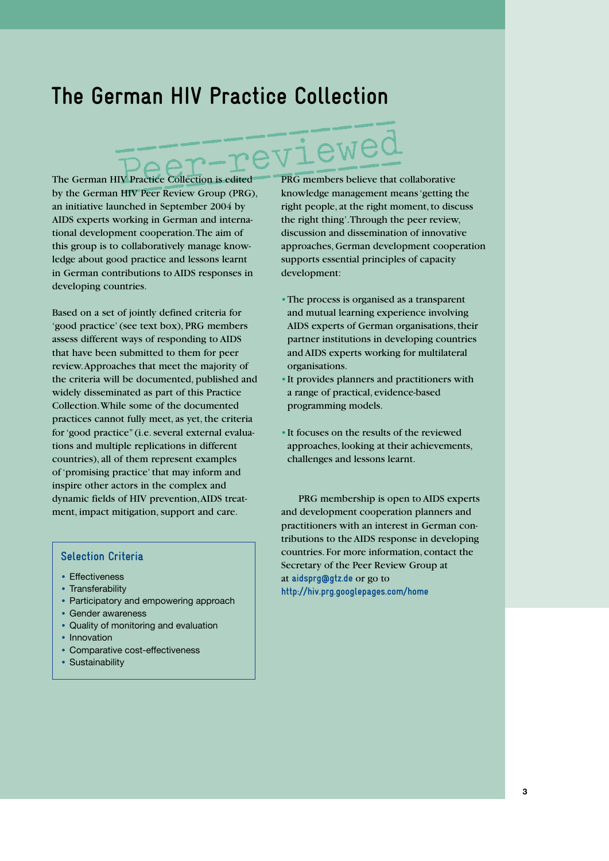# **The German HIV Practice Collection**

# viewed

The German HIV Practice Collection is edited by the German HIV Peer Review Group (PRG), an initiative launched in September 2004 by AIDS experts working in German and international development cooperation. The aim of this group is to collaboratively manage knowledge about good practice and lessons learnt in German contributions to AIDS responses in developing countries.

Based on a set of jointly defined criteria for 'good practice' (see text box), PRG members assess different ways of responding to AIDS that have been submitted to them for peer review. Approaches that meet the majority of the criteria will be documented, published and widely disseminated as part of this Practice Collection. While some of the documented practices cannot fully meet, as yet, the criteria for 'good practice" (i.e. several external evaluations and multiple replications in different countries), all of them represent examples of 'promising practice' that may inform and inspire other actors in the complex and dynamic fields of HIV prevention, AIDS treatment, impact mitigation, support and care.

# **Selection Criteria**

- Effectiveness
- Transferability
- Participatory and empowering approach
- Gender awareness
- Quality of monitoring and evaluation
- Innovation
- Comparative cost-effectiveness
- Sustainability

PRG members believe that collaborative knowledge management means 'getting the right people, at the right moment, to discuss the right thing'. Through the peer review, discussion and dissemination of innovative approaches, German development cooperation supports essential principles of capacity development:

- •The process is organised as a transparent and mutual learning experience involving AIDS experts of German organisations, their partner institutions in developing countries and AIDS experts working for multilateral organisations.
- •It provides planners and practitioners with a range of practical, evidence-based programming models.
- •It focuses on the results of the reviewed approaches, looking at their achievements, challenges and lessons learnt.

PRG membership is open to AIDS experts and development cooperation planners and practitioners with an interest in German contributions to the AIDS response in developing countries. For more information, contact the Secretary of the Peer Review Group at at **aidsprg@gtz.de** or go to **http://hiv.prg.googlepages.com/home**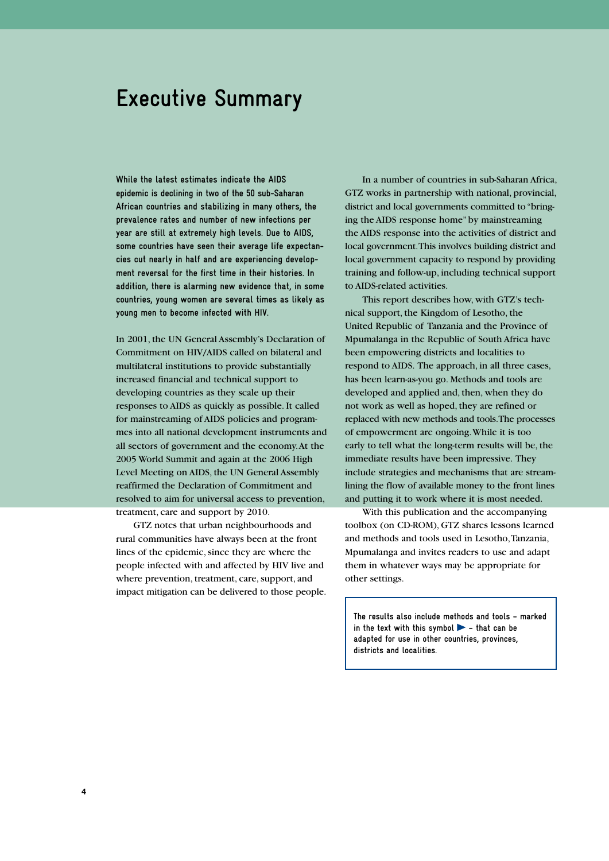# **Executive Summary**

**While the latest estimates indicate the AIDS epidemic is declining in two of the 50 sub-Saharan African countries and stabilizing in many others, the prevalence rates and number of new infections per year are still at extremely high levels. Due to AIDS, some countries have seen their average life expectancies cut nearly in half and are experiencing development reversal for the first time in their histories. In addition, there is alarming new evidence that, in some countries, young women are several times as likely as young men to become infected with HIV.**

In 2001, the UN General Assembly's Declaration of Commitment on HIV/AIDS called on bilateral and multilateral institutions to provide substantially increased financial and technical support to developing countries as they scale up their responses to AIDS as quickly as possible. It called for mainstreaming of AIDS policies and programmes into all national development instruments and all sectors of government and the economy. At the 2005 World Summit and again at the 2006 High Level Meeting on AIDS, the UN General Assembly reaffirmed the Declaration of Commitment and resolved to aim for universal access to prevention, treatment, care and support by 2010.

GTZ notes that urban neighbourhoods and rural communities have always been at the front lines of the epidemic, since they are where the people infected with and affected by HIV live and where prevention, treatment, care, support, and impact mitigation can be delivered to those people.

In a number of countries in sub-Saharan Africa, GTZ works in partnership with national, provincial, district and local governments committed to "bringing the AIDS response home" by mainstreaming the AIDS response into the activities of district and local government. This involves building district and local government capacity to respond by providing training and follow-up, including technical support to AIDS-related activities.

This report describes how, with GTZ's technical support, the Kingdom of Lesotho, the United Republic of Tanzania and the Province of Mpumalanga in the Republic of South Africa have been empowering districts and localities to respond to AIDS. The approach, in all three cases, has been learn-as-you go. Methods and tools are developed and applied and, then, when they do not work as well as hoped, they are refined or replaced with new methods and tools. The processes of empowerment are ongoing. While it is too early to tell what the long-term results will be, the immediate results have been impressive. They include strategies and mechanisms that are streamlining the flow of available money to the front lines and putting it to work where it is most needed.

With this publication and the accompanying toolbox (on CD-ROM), GTZ shares lessons learned and methods and tools used in Lesotho, Tanzania, Mpumalanga and invites readers to use and adapt them in whatever ways may be appropriate for other settings.

**The results also include methods and tools – marked in the text with this symbol – that can be adapted for use in other countries, provinces, districts and localities.**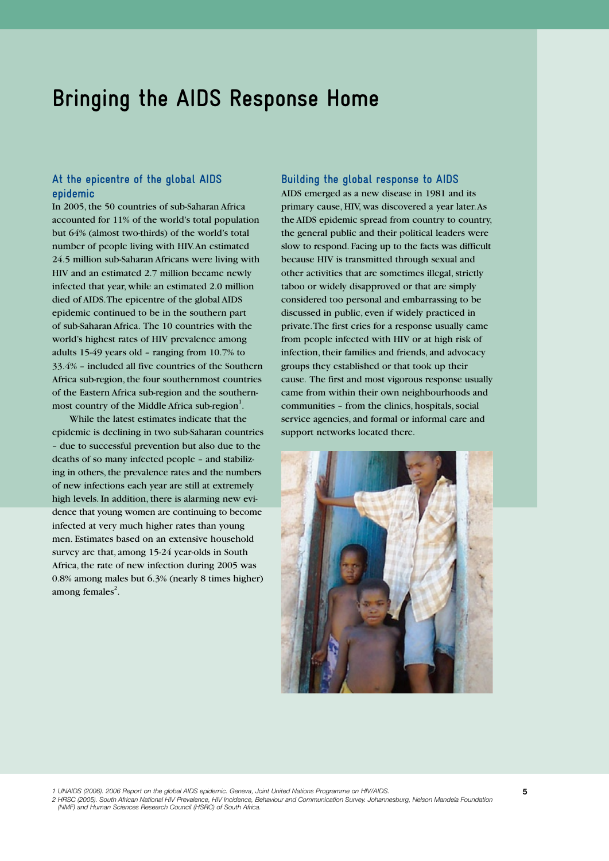# **Bringing the AIDS Response Home**

### **At the epicentre of the global AIDS epidemic**

In 2005, the 50 countries of sub-Saharan Africa accounted for 11% of the world's total population but 64% (almost two-thirds) of the world's total number of people living with HIV. An estimated 24.5 million sub-Saharan Africans were living with HIV and an estimated 2.7 million became newly infected that year, while an estimated 2.0 million died of AIDS. The epicentre of the global AIDS epidemic continued to be in the southern part of sub-Saharan Africa. The 10 countries with the world's highest rates of HIV prevalence among adults 15-49 years old – ranging from 10.7% to 33.4% – included all five countries of the Southern Africa sub-region, the four southernmost countries of the Eastern Africa sub-region and the southernmost country of the Middle Africa sub-region $<sup>1</sup>$ .</sup>

While the latest estimates indicate that the epidemic is declining in two sub-Saharan countries – due to successful prevention but also due to the deaths of so many infected people – and stabilizing in others, the prevalence rates and the numbers of new infections each year are still at extremely high levels. In addition, there is alarming new evidence that young women are continuing to become infected at very much higher rates than young men. Estimates based on an extensive household survey are that, among 15-24 year-olds in South Africa, the rate of new infection during 2005 was 0.8% among males but 6.3% (nearly 8 times higher) among females $^{2}$ .

#### **Building the global response to AIDS**

AIDS emerged as a new disease in 1981 and its primary cause, HIV, was discovered a year later. As the AIDS epidemic spread from country to country, the general public and their political leaders were slow to respond. Facing up to the facts was difficult because HIV is transmitted through sexual and other activities that are sometimes illegal, strictly taboo or widely disapproved or that are simply considered too personal and embarrassing to be discussed in public, even if widely practiced in private. The first cries for a response usually came from people infected with HIV or at high risk of infection, their families and friends, and advocacy groups they established or that took up their cause. The first and most vigorous response usually came from within their own neighbourhoods and communities – from the clinics, hospitals, social service agencies, and formal or informal care and support networks located there.



*1 UNAIDS (2006). 2006 Report on the global AIDS epidemic. Geneva, Joint United Nations Programme on HIV/AIDS.* 

2 HRSC (2005). South African National HIV Prevalence, HIV Incidence, Behaviour and Communication Survey. Johannesburg, Nelson Mandela Foundation<br>(NMF) and Human Sciences Research Council (HSRC) of South Africa.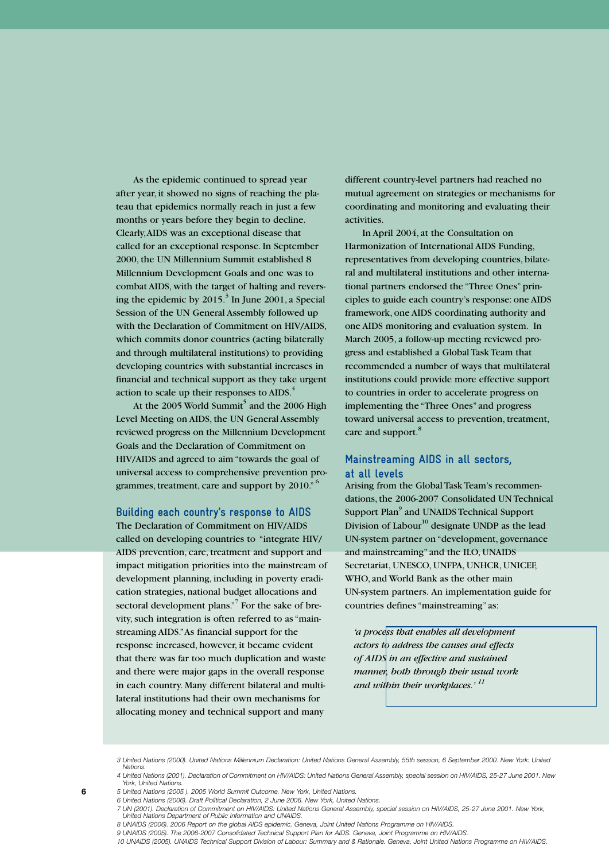As the epidemic continued to spread year after year, it showed no signs of reaching the plateau that epidemics normally reach in just a few months or years before they begin to decline. Clearly, AIDS was an exceptional disease that called for an exceptional response. In September 2000, the UN Millennium Summit established 8 Millennium Development Goals and one was to combat AIDS, with the target of halting and reversing the epidemic by  $2015.<sup>3</sup>$  In June 2001, a Special Session of the UN General Assembly followed up with the Declaration of Commitment on HIV/AIDS, which commits donor countries (acting bilaterally and through multilateral institutions) to providing developing countries with substantial increases in financial and technical support as they take urgent action to scale up their responses to AIDS.<sup>4</sup>

At the 2005 World Summit<sup>5</sup> and the 2006 High Level Meeting on AIDS, the UN General Assembly reviewed progress on the Millennium Development Goals and the Declaration of Commitment on HIV/AIDS and agreed to aim "towards the goal of universal access to comprehensive prevention programmes, treatment, care and support by 2010."<sup>6</sup>

### **Building each country's response to AIDS**

The Declaration of Commitment on HIV/AIDS called on developing countries to "integrate HIV/ AIDS prevention, care, treatment and support and impact mitigation priorities into the mainstream of development planning, including in poverty eradication strategies, national budget allocations and sectoral development plans."<sup>7</sup> For the sake of brevity, such integration is often referred to as "mainstreaming AIDS." As financial support for the response increased, however, it became evident that there was far too much duplication and waste and there were major gaps in the overall response in each country. Many different bilateral and multilateral institutions had their own mechanisms for allocating money and technical support and many

different country-level partners had reached no mutual agreement on strategies or mechanisms for coordinating and monitoring and evaluating their activities.

In April 2004, at the Consultation on Harmonization of International AIDS Funding, representatives from developing countries, bilateral and multilateral institutions and other international partners endorsed the "Three Ones" principles to guide each country's response: one AIDS framework, one AIDS coordinating authority and one AIDS monitoring and evaluation system. In March 2005, a follow-up meeting reviewed progress and established a Global Task Team that recommended a number of ways that multilateral institutions could provide more effective support to countries in order to accelerate progress on implementing the "Three Ones" and progress toward universal access to prevention, treatment, care and support.<sup>8</sup>

### **Mainstreaming AIDS in all sectors, at all levels**

Arising from the Global Task Team's recommendations, the 2006-2007 Consolidated UN Technical Support Plan<sup>9</sup> and UNAIDS Technical Support Division of Labour<sup>10</sup> designate UNDP as the lead UN-system partner on "development, governance and mainstreaming" and the ILO, UNAIDS Secretariat, UNESCO, UNFPA, UNHCR, UNICEF, WHO, and World Bank as the other main UN-system partners. An implementation guide for countries defines "mainstreaming" as:

*'a process that enables all development actors to address the causes and effects of AIDS in an effective and sustained manner, both through their usual work and within their workplaces.' <sup>11</sup>*

**6**

*9 UNAIDS (2005). The 2006-2007 Consolidated Technical Support Plan for AIDS. Geneva, Joint Programme on HIV/AIDS.* 

*<sup>3</sup> United Nations (2000). United Nations Millennium Declaration: United Nations General Assembly, 55th session, 6 September 2000. New York: United Nations.* 

*<sup>4</sup> United Nations (2001). Declaration of Commitment on HIV/AIDS: United Nations General Assembly, special session on HIV/AIDS, 25-27 June 2001. New York, United Nations.* 

*<sup>5</sup> United Nations (2005 ). 2005 World Summit Outcome. New York, United Nations.* 

*<sup>6</sup> United Nations (2006). Draft Political Declaration, 2 June 2006. New York, United Nations.* 

*<sup>7</sup> UN (2001). Declaration of Commitment on HIV/AIDS: United Nations General Assembly, special session on HIV/AIDS, 25-27 June 2001. New York, United Nations Department of Public Information and UNAIDS.*

*<sup>8</sup> UNAIDS (2006). 2006 Report on the global AIDS epidemic. Geneva, Joint United Nations Programme on HIV/AIDS.*

*<sup>10</sup> UNAIDS (2005). UNAIDS Technical Support Division of Labour: Summary and & Rationale. Geneva, Joint United Nations Programme on HIV/AIDS.*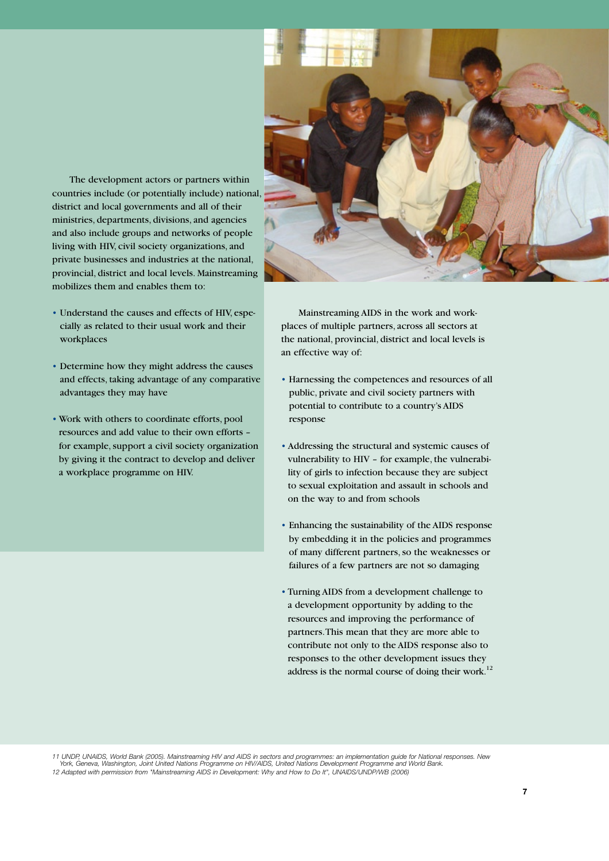

The development actors or partners within countries include (or potentially include) national, district and local governments and all of their ministries, departments, divisions, and agencies and also include groups and networks of people living with HIV, civil society organizations, and private businesses and industries at the national, provincial, district and local levels. Mainstreaming mobilizes them and enables them to:

- Understand the causes and effects of HIV, especially as related to their usual work and their workplaces
- Determine how they might address the causes and effects, taking advantage of any comparative advantages they may have
- Work with others to coordinate efforts, pool resources and add value to their own efforts – for example, support a civil society organization by giving it the contract to develop and deliver a workplace programme on HIV.

Mainstreaming AIDS in the work and workplaces of multiple partners, across all sectors at the national, provincial, district and local levels is an effective way of:

- Harnessing the competences and resources of all public, private and civil society partners with potential to contribute to a country's AIDS response
- Addressing the structural and systemic causes of vulnerability to HIV – for example, the vulnerability of girls to infection because they are subject to sexual exploitation and assault in schools and on the way to and from schools
- Enhancing the sustainability of the AIDS response by embedding it in the policies and programmes of many different partners, so the weaknesses or failures of a few partners are not so damaging
- Turning AIDS from a development challenge to a development opportunity by adding to the resources and improving the performance of partners. This mean that they are more able to contribute not only to the AIDS response also to responses to the other development issues they address is the normal course of doing their work.<sup>12</sup>

11 UNDP, UNAIDS, World Bank (2005). Mainstreaming HIV and AIDS in sectors and programmes: an implementation guide for National responses. New<br>York, Geneva, Washington, Joint United Nations Programme on HIV/AIDS, United Nat 12 Adapted with permission from "Mainstreaming AIDS in Development: Why and How to Do It", UNAIDS/UNDP/WB (2006)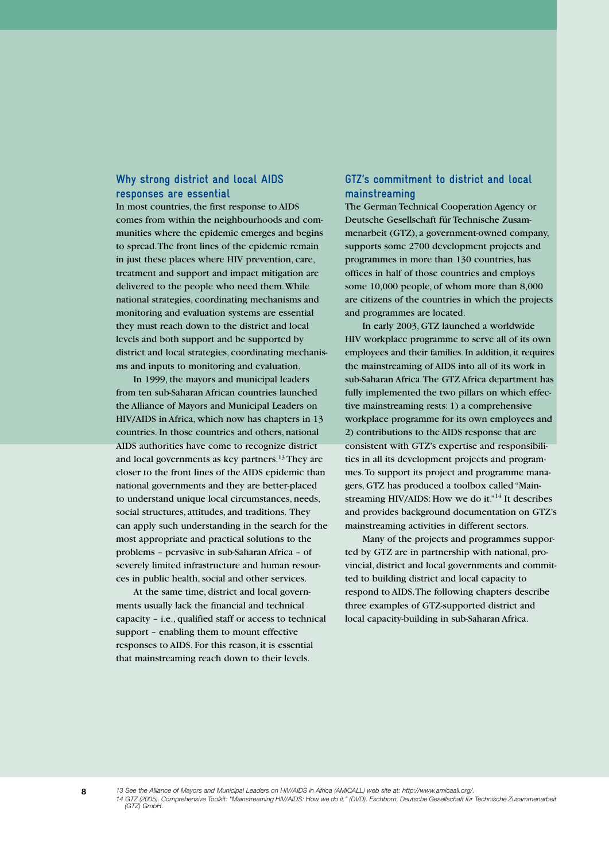### **Why strong district and local AIDS responses are essential**

In most countries, the first response to AIDS comes from within the neighbourhoods and communities where the epidemic emerges and begins to spread. The front lines of the epidemic remain in just these places where HIV prevention, care, treatment and support and impact mitigation are delivered to the people who need them. While national strategies, coordinating mechanisms and monitoring and evaluation systems are essential they must reach down to the district and local levels and both support and be supported by district and local strategies, coordinating mechanisms and inputs to monitoring and evaluation.

In 1999, the mayors and municipal leaders from ten sub-Saharan African countries launched the Alliance of Mayors and Municipal Leaders on HIV/AIDS in Africa, which now has chapters in 13 countries. In those countries and others, national AIDS authorities have come to recognize district and local governments as key partners.13 They are closer to the front lines of the AIDS epidemic than national governments and they are better-placed to understand unique local circumstances, needs, social structures, attitudes, and traditions. They can apply such understanding in the search for the most appropriate and practical solutions to the problems – pervasive in sub-Saharan Africa – of severely limited infrastructure and human resources in public health, social and other services.

At the same time, district and local governments usually lack the financial and technical capacity – i.e., qualified staff or access to technical support – enabling them to mount effective responses to AIDS. For this reason, it is essential that mainstreaming reach down to their levels.

# **GTZ's commitment to district and local mainstreaming**

The German Technical Cooperation Agency or Deutsche Gesellschaft für Technische Zusammenarbeit (GTZ), a government-owned company, supports some 2700 development projects and programmes in more than 130 countries, has offices in half of those countries and employs some 10,000 people, of whom more than 8,000 are citizens of the countries in which the projects and programmes are located.

In early 2003, GTZ launched a worldwide HIV workplace programme to serve all of its own employees and their families. In addition, it requires the mainstreaming of AIDS into all of its work in sub-Saharan Africa. The GTZ Africa department has fully implemented the two pillars on which effective mainstreaming rests: 1) a comprehensive workplace programme for its own employees and 2) contributions to the AIDS response that are consistent with GTZ's expertise and responsibilities in all its development projects and programmes. To support its project and programme managers, GTZ has produced a toolbox called "Mainstreaming HIV/AIDS: How we do it."<sup>14</sup> It describes and provides background documentation on GTZ's mainstreaming activities in different sectors.

Many of the projects and programmes supported by GTZ are in partnership with national, provincial, district and local governments and committed to building district and local capacity to respond to AIDS. The following chapters describe three examples of GTZ-supported district and local capacity-building in sub-Saharan Africa.

**8** *13 See the Alliance of Mayors and Municipal Leaders on HIV/AIDS in Africa (AMICALL) web site at: http://www.amicaall.org/. 14 GTZ (2005). Comprehensive Toolkit: "Mainstreaming HIV/AIDS: How we do it." (DVD). Eschborn, Deutsche Gesellschaft für Technische Zusammenarbeit (GTZ) GmbH.*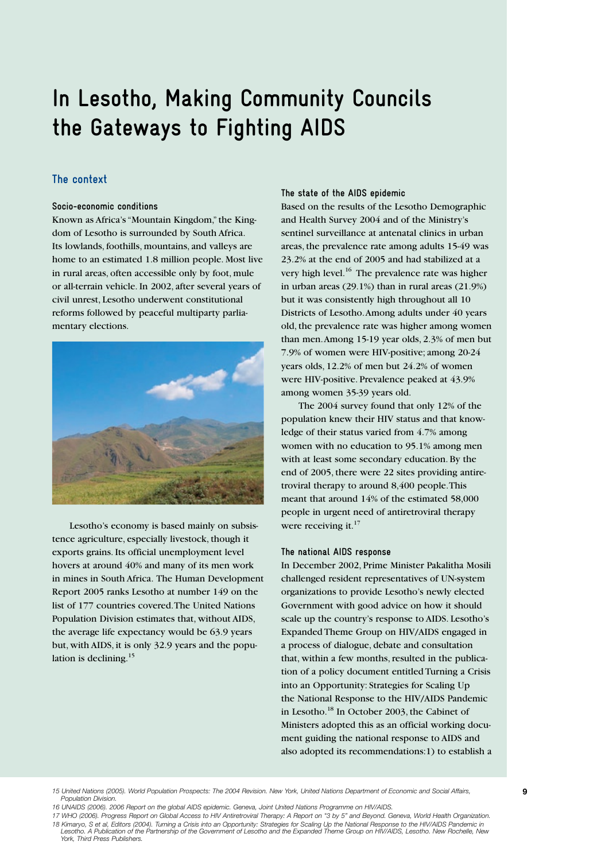# **In Lesotho, Making Community Councils the Gateways to Fighting AIDS**

# **The context**

#### **Socio-economic conditions**

Known as Africa's "Mountain Kingdom," the Kingdom of Lesotho is surrounded by South Africa. Its lowlands, foothills, mountains, and valleys are home to an estimated 1.8 million people. Most live in rural areas, often accessible only by foot, mule or all-terrain vehicle. In 2002, after several years of civil unrest, Lesotho underwent constitutional reforms followed by peaceful multiparty parliamentary elections.



Lesotho's economy is based mainly on subsistence agriculture, especially livestock, though it exports grains. Its official unemployment level hovers at around 40% and many of its men work in mines in South Africa. The Human Development Report 2005 ranks Lesotho at number 149 on the list of 177 countries covered. The United Nations Population Division estimates that, without AIDS, the average life expectancy would be 63.9 years but, with AIDS, it is only 32.9 years and the population is declining.<sup>15</sup>

#### **The state of the AIDS epidemic**

Based on the results of the Lesotho Demographic and Health Survey 2004 and of the Ministry's sentinel surveillance at antenatal clinics in urban areas, the prevalence rate among adults 15-49 was 23.2% at the end of 2005 and had stabilized at a very high level.<sup>16</sup> The prevalence rate was higher in urban areas (29.1%) than in rural areas (21.9%) but it was consistently high throughout all 10 Districts of Lesotho. Among adults under 40 years old, the prevalence rate was higher among women than men. Among 15-19 year olds, 2.3% of men but 7.9% of women were HIV-positive; among 20-24 years olds, 12.2% of men but 24.2% of women were HIV-positive. Prevalence peaked at 43.9% among women 35-39 years old.

The 2004 survey found that only 12% of the population knew their HIV status and that knowledge of their status varied from 4.7% among women with no education to 95.1% among men with at least some secondary education. By the end of 2005, there were 22 sites providing antiretroviral therapy to around 8,400 people. This meant that around 14% of the estimated 58,000 people in urgent need of antiretroviral therapy were receiving it.<sup>17</sup>

#### **The national AIDS response**

In December 2002, Prime Minister Pakalitha Mosili challenged resident representatives of UN-system organizations to provide Lesotho's newly elected Government with good advice on how it should scale up the country's response to AIDS. Lesotho's Expanded Theme Group on HIV/AIDS engaged in a process of dialogue, debate and consultation that, within a few months, resulted in the publication of a policy document entitled Turning a Crisis into an Opportunity: Strategies for Scaling Up the National Response to the HIV/AIDS Pandemic in Lesotho.18 In October 2003, the Cabinet of Ministers adopted this as an official working document guiding the national response to AIDS and also adopted its recommendations:1) to establish a

*15 United Nations (2005). World Population Prospects: The 2004 Revision. New York, United Nations Department of Economic and Social Affairs,* **9** *Population Division.* 

*16 UNAIDS (2006). 2006 Report on the global AIDS epidemic. Geneva, Joint United Nations Programme on HIV/AIDS.*

*17 WHO (2006). Progress Report on Global Access to HIV Antiretroviral Therapy: A Report on "3 by 5" and Beyond. Geneva, World Health Organization. 18 Kimaryo, S et al, Editors (2004). Turning a Crisis into an Opportunity: Strategies for Scaling Up the National Response to the HIV/AIDS Pandemic in Lesotho. A Publication of the Partnership of the Government of Lesotho and the Expanded Theme Group on HIV/AIDS, Lesotho. New Rochelle, New York, Third Press Publishers.*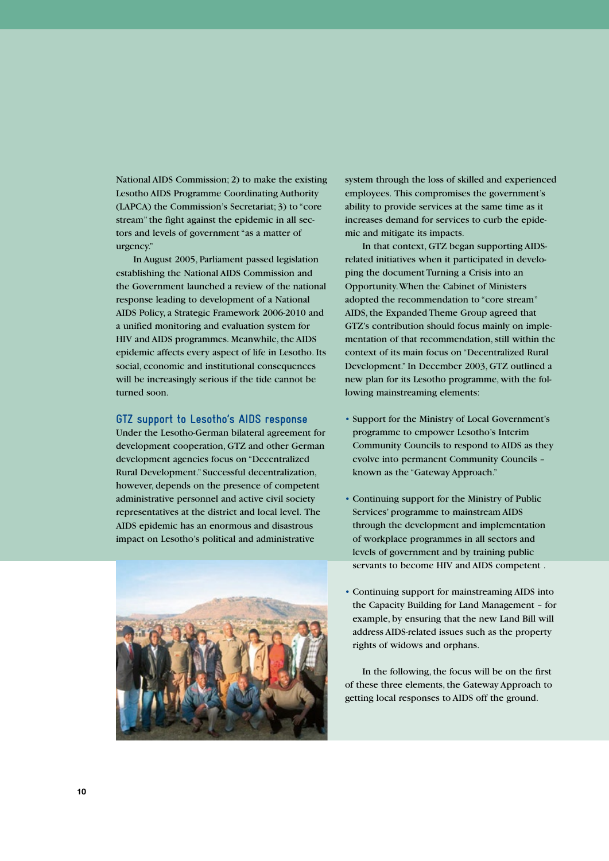National AIDS Commission; 2) to make the existing Lesotho AIDS Programme Coordinating Authority (LAPCA) the Commission's Secretariat; 3) to "core stream" the fight against the epidemic in all sectors and levels of government "as a matter of urgency."

In August 2005, Parliament passed legislation establishing the National AIDS Commission and the Government launched a review of the national response leading to development of a National AIDS Policy, a Strategic Framework 2006-2010 and a unified monitoring and evaluation system for HIV and AIDS programmes. Meanwhile, the AIDS epidemic affects every aspect of life in Lesotho. Its social, economic and institutional consequences will be increasingly serious if the tide cannot be turned soon.

### **GTZ support to Lesotho's AIDS response**

Under the Lesotho-German bilateral agreement for development cooperation, GTZ and other German development agencies focus on "Decentralized Rural Development." Successful decentralization, however, depends on the presence of competent administrative personnel and active civil society representatives at the district and local level. The AIDS epidemic has an enormous and disastrous impact on Lesotho's political and administrative



system through the loss of skilled and experienced employees. This compromises the government's ability to provide services at the same time as it increases demand for services to curb the epidemic and mitigate its impacts.

In that context, GTZ began supporting AIDSrelated initiatives when it participated in developing the document Turning a Crisis into an Opportunity. When the Cabinet of Ministers adopted the recommendation to "core stream" AIDS, the Expanded Theme Group agreed that GTZ's contribution should focus mainly on implementation of that recommendation, still within the context of its main focus on "Decentralized Rural Development." In December 2003, GTZ outlined a new plan for its Lesotho programme, with the following mainstreaming elements:

- Support for the Ministry of Local Government's programme to empower Lesotho's Interim Community Councils to respond to AIDS as they evolve into permanent Community Councils – known as the "Gateway Approach."
- Continuing support for the Ministry of Public Services' programme to mainstream AIDS through the development and implementation of workplace programmes in all sectors and levels of government and by training public servants to become HIV and AIDS competent .
- Continuing support for mainstreaming AIDS into the Capacity Building for Land Management – for example, by ensuring that the new Land Bill will address AIDS-related issues such as the property rights of widows and orphans.

In the following, the focus will be on the first of these three elements, the Gateway Approach to getting local responses to AIDS off the ground.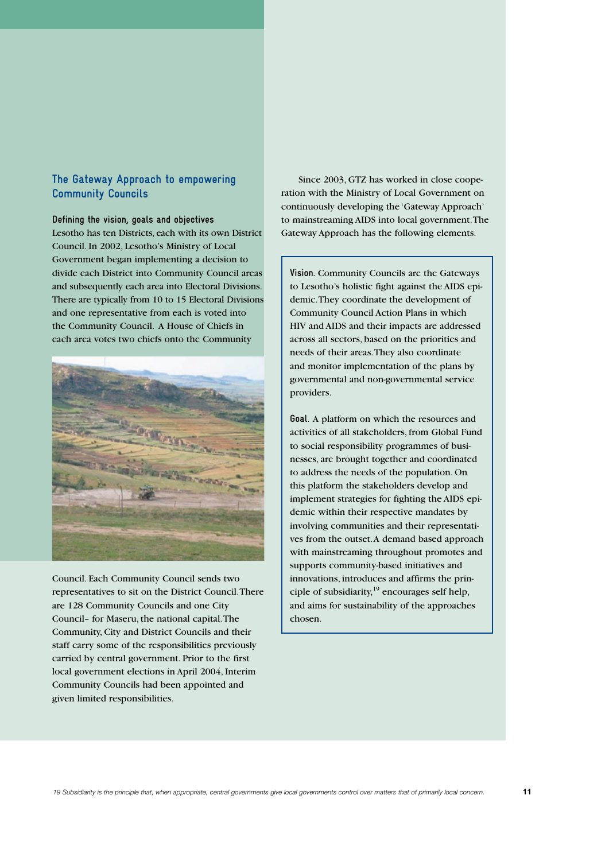# **The Gateway Approach to empowering Community Councils**

#### **Defining the vision, goals and objectives**

Lesotho has ten Districts, each with its own District Council. In 2002, Lesotho's Ministry of Local Government began implementing a decision to divide each District into Community Council areas and subsequently each area into Electoral Divisions. There are typically from 10 to 15 Electoral Divisions and one representative from each is voted into the Community Council. A House of Chiefs in each area votes two chiefs onto the Community



Council. Each Community Council sends two representatives to sit on the District Council. There are 128 Community Councils and one City Council– for Maseru, the national capital. The Community, City and District Councils and their staff carry some of the responsibilities previously carried by central government. Prior to the first local government elections in April 2004, Interim Community Councils had been appointed and given limited responsibilities.

Since 2003, GTZ has worked in close cooperation with the Ministry of Local Government on continuously developing the 'Gateway Approach' to mainstreaming AIDS into local government. The Gateway Approach has the following elements.

**Vision.** Community Councils are the Gateways to Lesotho's holistic fight against the AIDS epidemic. They coordinate the development of Community Council Action Plans in which HIV and AIDS and their impacts are addressed across all sectors, based on the priorities and needs of their areas. They also coordinate and monitor implementation of the plans by governmental and non-governmental service providers.

**Goal.** A platform on which the resources and activities of all stakeholders, from Global Fund to social responsibility programmes of businesses, are brought together and coordinated to address the needs of the population. On this platform the stakeholders develop and implement strategies for fighting the AIDS epidemic within their respective mandates by involving communities and their representatives from the outset. A demand based approach with mainstreaming throughout promotes and supports community-based initiatives and innovations, introduces and affirms the principle of subsidiarity, $19$  encourages self help, and aims for sustainability of the approaches chosen.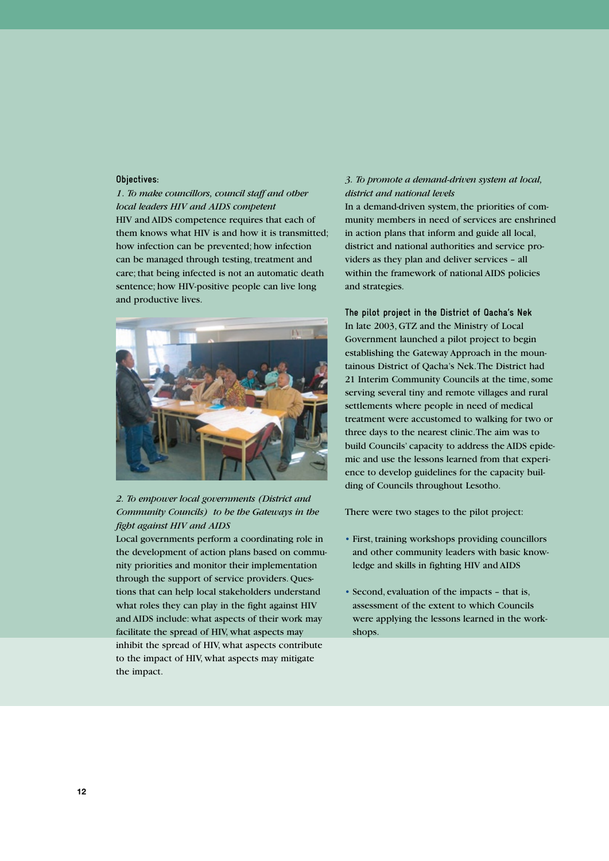#### **Objectives:**

*1. To make councillors, council staff and other local leaders HIV and AIDS competent*  HIV and AIDS competence requires that each of them knows what HIV is and how it is transmitted; how infection can be prevented; how infection can be managed through testing, treatment and care; that being infected is not an automatic death sentence; how HIV-positive people can live long and productive lives.



# *2. To empower local governments (District and Community Councils) to be the Gateways in the fight against HIV and AIDS*

Local governments perform a coordinating role in the development of action plans based on community priorities and monitor their implementation through the support of service providers. Questions that can help local stakeholders understand what roles they can play in the fight against HIV and AIDS include: what aspects of their work may facilitate the spread of HIV, what aspects may inhibit the spread of HIV, what aspects contribute to the impact of HIV, what aspects may mitigate the impact.

#### *3. To promote a demand-driven system at local, district and national levels*

In a demand-driven system, the priorities of community members in need of services are enshrined in action plans that inform and guide all local, district and national authorities and service providers as they plan and deliver services – all within the framework of national AIDS policies and strategies.

**The pilot project in the District of Qacha's Nek** In late 2003, GTZ and the Ministry of Local Government launched a pilot project to begin establishing the Gateway Approach in the mountainous District of Qacha's Nek. The District had 21 Interim Community Councils at the time, some serving several tiny and remote villages and rural settlements where people in need of medical treatment were accustomed to walking for two or three days to the nearest clinic. The aim was to build Councils' capacity to address the AIDS epidemic and use the lessons learned from that experience to develop guidelines for the capacity building of Councils throughout Lesotho.

There were two stages to the pilot project:

- First, training workshops providing councillors and other community leaders with basic knowledge and skills in fighting HIV and AIDS
- Second, evaluation of the impacts that is, assessment of the extent to which Councils were applying the lessons learned in the workshops.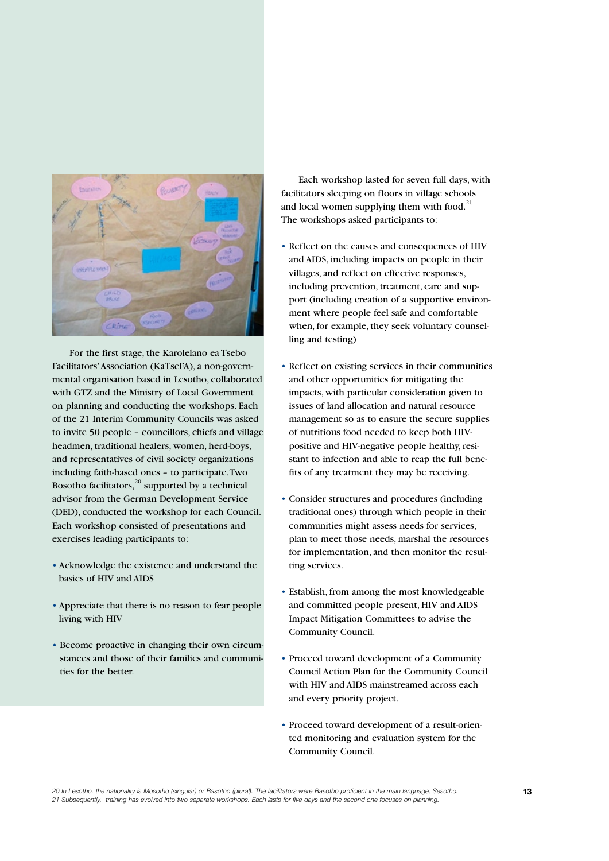

For the first stage, the Karolelano ea Tsebo Facilitators' Association (KaTseFA), a non-governmental organisation based in Lesotho, collaborated with GTZ and the Ministry of Local Government on planning and conducting the workshops. Each of the 21 Interim Community Councils was asked to invite 50 people – councillors, chiefs and village headmen, traditional healers, women, herd-boys, and representatives of civil society organizations including faith-based ones – to participate. Two Bosotho facilitators, $^{20}$  supported by a technical advisor from the German Development Service (DED), conducted the workshop for each Council. Each workshop consisted of presentations and exercises leading participants to:

- Acknowledge the existence and understand the basics of HIV and AIDS
- Appreciate that there is no reason to fear people living with HIV
- Become proactive in changing their own circumstances and those of their families and communities for the better.

Each workshop lasted for seven full days, with facilitators sleeping on floors in village schools and local women supplying them with food. $^{21}$ The workshops asked participants to:

- Reflect on the causes and consequences of HIV and AIDS, including impacts on people in their villages, and reflect on effective responses, including prevention, treatment, care and support (including creation of a supportive environment where people feel safe and comfortable when, for example, they seek voluntary counselling and testing)
- Reflect on existing services in their communities and other opportunities for mitigating the impacts, with particular consideration given to issues of land allocation and natural resource management so as to ensure the secure supplies of nutritious food needed to keep both HIVpositive and HIV-negative people healthy, resistant to infection and able to reap the full benefits of any treatment they may be receiving.
- Consider structures and procedures (including traditional ones) through which people in their communities might assess needs for services, plan to meet those needs, marshal the resources for implementation, and then monitor the resulting services.
- Establish, from among the most knowledgeable and committed people present, HIV and AIDS Impact Mitigation Committees to advise the Community Council.
- Proceed toward development of a Community Council Action Plan for the Community Council with HIV and AIDS mainstreamed across each and every priority project.
- Proceed toward development of a result-oriented monitoring and evaluation system for the Community Council.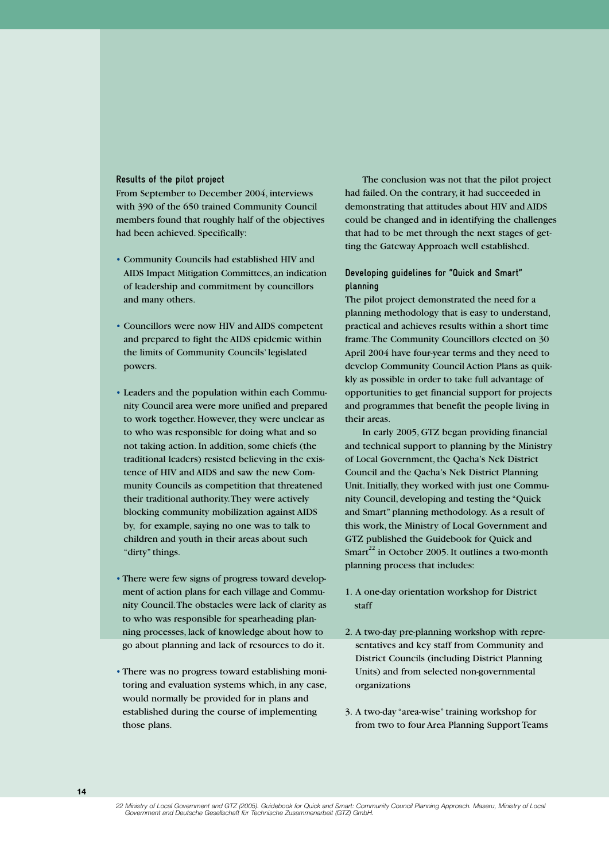#### **Results of the pilot project**

From September to December 2004, interviews with 390 of the 650 trained Community Council members found that roughly half of the objectives had been achieved. Specifically:

- Community Councils had established HIV and AIDS Impact Mitigation Committees, an indication of leadership and commitment by councillors and many others.
- Councillors were now HIV and AIDS competent and prepared to fight the AIDS epidemic within the limits of Community Councils' legislated powers.
- Leaders and the population within each Community Council area were more unified and prepared to work together. However, they were unclear as to who was responsible for doing what and so not taking action. In addition, some chiefs (the traditional leaders) resisted believing in the existence of HIV and AIDS and saw the new Community Councils as competition that threatened their traditional authority. They were actively blocking community mobilization against AIDS by, for example, saying no one was to talk to children and youth in their areas about such "dirty" things.
- There were few signs of progress toward development of action plans for each village and Community Council. The obstacles were lack of clarity as to who was responsible for spearheading planning processes, lack of knowledge about how to go about planning and lack of resources to do it.
- There was no progress toward establishing monitoring and evaluation systems which, in any case, would normally be provided for in plans and established during the course of implementing those plans.

The conclusion was not that the pilot project had failed. On the contrary, it had succeeded in demonstrating that attitudes about HIV and AIDS could be changed and in identifying the challenges that had to be met through the next stages of getting the Gateway Approach well established.

### **Developing guidelines for "Quick and Smart" planning**

The pilot project demonstrated the need for a planning methodology that is easy to understand, practical and achieves results within a short time frame. The Community Councillors elected on 30 April 2004 have four-year terms and they need to develop Community Council Action Plans as quikkly as possible in order to take full advantage of opportunities to get financial support for projects and programmes that benefit the people living in their areas.

In early 2005, GTZ began providing financial and technical support to planning by the Ministry of Local Government, the Qacha's Nek District Council and the Qacha's Nek District Planning Unit. Initially, they worked with just one Community Council, developing and testing the "Quick and Smart" planning methodology. As a result of this work, the Ministry of Local Government and GTZ published the Guidebook for Quick and Smart<sup>22</sup> in October 2005. It outlines a two-month planning process that includes:

- 1. A one-day orientation workshop for District staff
- 2. A two-day pre-planning workshop with representatives and key staff from Community and District Councils (including District Planning Units) and from selected non-governmental organizations
- 3. A two-day "area-wise" training workshop for from two to four Area Planning Support Teams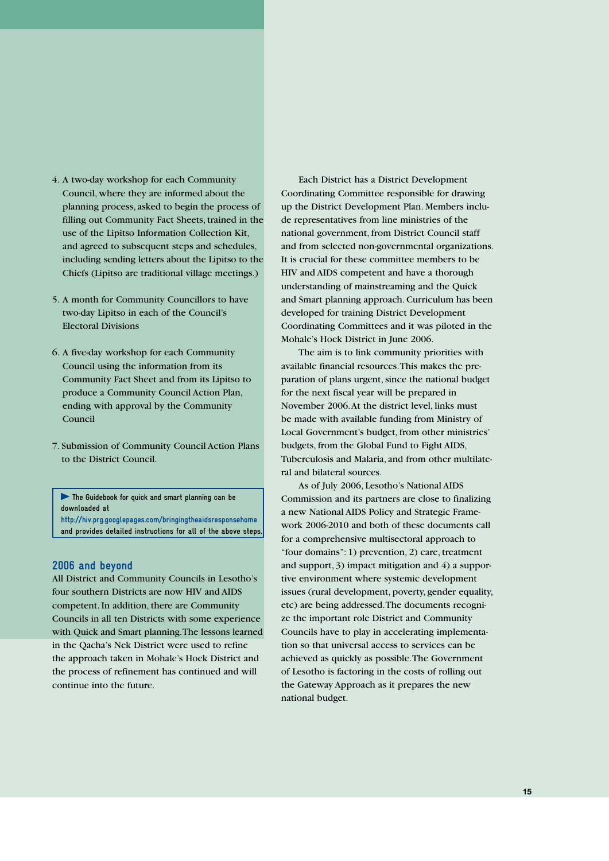- 4. A two-day workshop for each Community Council, where they are informed about the planning process, asked to begin the process of filling out Community Fact Sheets, trained in the use of the Lipitso Information Collection Kit, and agreed to subsequent steps and schedules, including sending letters about the Lipitso to the Chiefs (Lipitso are traditional village meetings.)
- 5. A month for Community Councillors to have two-day Lipitso in each of the Council's Electoral Divisions
- 6. A five-day workshop for each Community Council using the information from its Community Fact Sheet and from its Lipitso to produce a Community Council Action Plan, ending with approval by the Community Council
- 7. Submission of Community Council Action Plans to the District Council.

**The Guidebook for quick and smart planning can be downloaded at http://hiv.prg.googlepages.com/bringingtheaidsresponsehome**

**and provides detailed instructions for all of the above steps.**

#### **2006 and beyond**

All District and Community Councils in Lesotho's four southern Districts are now HIV and AIDS competent. In addition, there are Community Councils in all ten Districts with some experience with Quick and Smart planning. The lessons learned in the Qacha's Nek District were used to refine the approach taken in Mohale's Hoek District and the process of refinement has continued and will continue into the future.

Each District has a District Development Coordinating Committee responsible for drawing up the District Development Plan. Members include representatives from line ministries of the national government, from District Council staff and from selected non-governmental organizations. It is crucial for these committee members to be HIV and AIDS competent and have a thorough understanding of mainstreaming and the Quick and Smart planning approach. Curriculum has been developed for training District Development Coordinating Committees and it was piloted in the Mohale's Hoek District in June 2006.

The aim is to link community priorities with available financial resources. This makes the preparation of plans urgent, since the national budget for the next fiscal year will be prepared in November 2006. At the district level, links must be made with available funding from Ministry of Local Government's budget, from other ministries' budgets, from the Global Fund to Fight AIDS, Tuberculosis and Malaria, and from other multilateral and bilateral sources.

As of July 2006, Lesotho's National AIDS Commission and its partners are close to finalizing a new National AIDS Policy and Strategic Framework 2006-2010 and both of these documents call for a comprehensive multisectoral approach to "four domains": 1) prevention, 2) care, treatment and support, 3) impact mitigation and 4) a supportive environment where systemic development issues (rural development, poverty, gender equality, etc) are being addressed. The documents recognize the important role District and Community Councils have to play in accelerating implementation so that universal access to services can be achieved as quickly as possible. The Government of Lesotho is factoring in the costs of rolling out the Gateway Approach as it prepares the new national budget.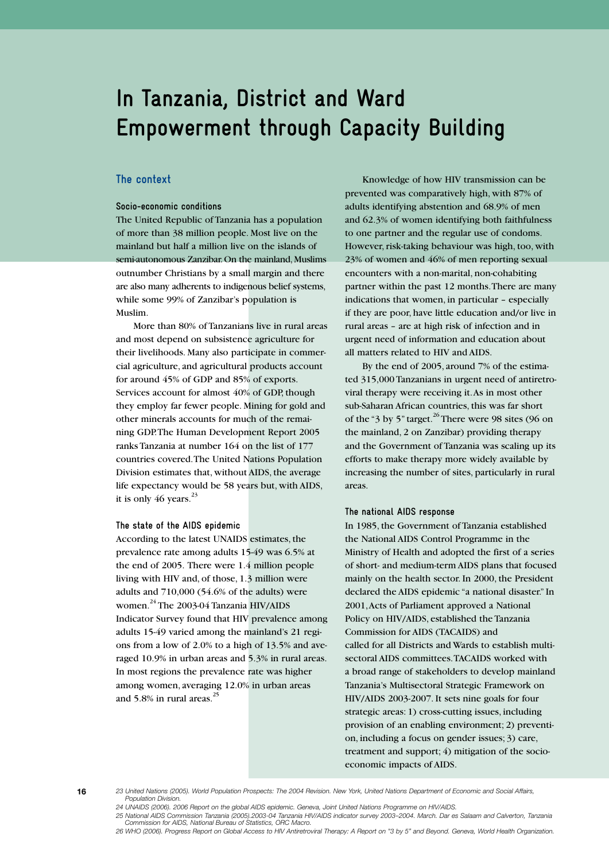# **In Tanzania, District and Ward Empowerment through Capacity Building**

### **The context**

#### **Socio-economic conditions**

The United Republic of Tanzania has a population of more than 38 million people. Most live on the mainland but half a million live on the islands of semi-autonomous Zanzibar. On the mainland, Muslims outnumber Christians by a small margin and there are also many adherents to indigenous belief systems, while some 99% of Zanzibar's population is Muslim.

More than 80% of Tanzanians live in rural areas and most depend on subsistence agriculture for their livelihoods. Many also participate in commercial agriculture, and agricultural products account for around 45% of GDP and 85% of exports. Services account for almost 40% of GDP, though they employ far fewer people. Mining for gold and other minerals accounts for much of the remaining GDP. The Human Development Report 2005 ranks Tanzania at number 164 on the list of 177 countries covered. The United Nations Population Division estimates that, without AIDS, the average life expectancy would be 58 years but, with AIDS, it is only 46 years. $^{23}$ 

#### **The state of the AIDS epidemic**

According to the latest UNAIDS estimates, the prevalence rate among adults 15-49 was 6.5% at the end of 2005. There were 1.4 million people living with HIV and, of those, 1.3 million were adults and 710,000 (54.6% of the adults) were women.<sup>24</sup> The 2003-04 Tanzania HIV/AIDS Indicator Survey found that HIV prevalence among adults 15-49 varied among the mainland's 21 regions from a low of 2.0% to a high of 13.5% and averaged 10.9% in urban areas and 5.3% in rural areas. In most regions the prevalence rate was higher among women, averaging 12.0% in urban areas and 5.8% in rural areas. $^{25}$ 

Knowledge of how HIV transmission can be prevented was comparatively high, with 87% of adults identifying abstention and 68.9% of men and 62.3% of women identifying both faithfulness to one partner and the regular use of condoms. However, risk-taking behaviour was high, too, with 23% of women and 46% of men reporting sexual encounters with a non-marital, non-cohabiting partner within the past 12 months. There are many indications that women, in particular – especially if they are poor, have little education and/or live in rural areas – are at high risk of infection and in urgent need of information and education about all matters related to HIV and AIDS.

By the end of 2005, around 7% of the estimated 315,000 Tanzanians in urgent need of antiretroviral therapy were receiving it. As in most other sub-Saharan African countries, this was far short of the "3 by 5" target.<sup>26</sup> There were 98 sites (96 on the mainland, 2 on Zanzibar) providing therapy and the Government of Tanzania was scaling up its efforts to make therapy more widely available by increasing the number of sites, particularly in rural areas.

#### **The national AIDS response**

In 1985, the Government of Tanzania established the National AIDS Control Programme in the Ministry of Health and adopted the first of a series of short- and medium-term AIDS plans that focused mainly on the health sector. In 2000, the President declared the AIDS epidemic "a national disaster." In 2001, Acts of Parliament approved a National Policy on HIV/AIDS, established the Tanzania Commission for AIDS (TACAIDS) and called for all Districts and Wards to establish multisectoral AIDS committees. TACAIDS worked with a broad range of stakeholders to develop mainland Tanzania's Multisectoral Strategic Framework on HIV/AIDS 2003-2007. It sets nine goals for four strategic areas: 1) cross-cutting issues, including provision of an enabling environment; 2) prevention, including a focus on gender issues; 3) care, treatment and support; 4) mitigation of the socioeconomic impacts of AIDS.

*Population Division. 24 UNAIDS (2006). 2006 Report on the global AIDS epidemic. Geneva, Joint United Nations Programme on HIV/AIDS.*

*25 National AIDS Commission Tanzania (2005).2003-04 Tanzania HIV/AIDS indicator survey 2003–2004. March. Dar es Salaam and Calverton, Tanzania Commission for AIDS, National Bureau of Statistics, ORC Macro.*

*26 WHO (2006). Progress Report on Global Access to HIV Antiretroviral Therapy: A Report on "3 by 5" and Beyond. Geneva, World Health Organization.*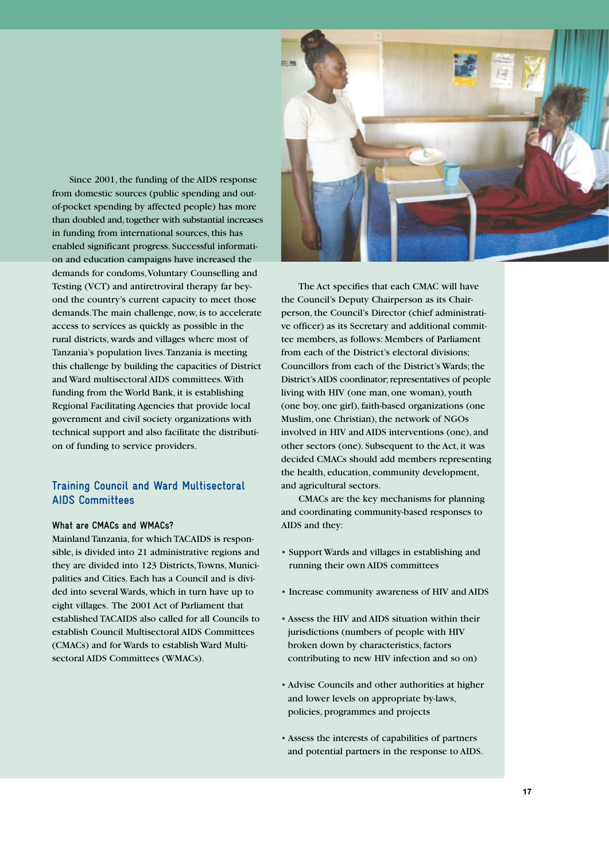Since 2001, the funding of the AIDS response from domestic sources (public spending and outof-pocket spending by affected people) has more than doubled and, together with substantial increases in funding from international sources, this has enabled significant progress. Successful information and education campaigns have increased the demands for condoms, Voluntary Counselling and Testing (VCT) and antiretroviral therapy far beyond the country's current capacity to meet those demands. The main challenge, now, is to accelerate access to services as quickly as possible in the rural districts, wards and villages where most of Tanzania's population lives. Tanzania is meeting this challenge by building the capacities of District and Ward multisectoral AIDS committees. With funding from the World Bank, it is establishing Regional Facilitating Agencies that provide local government and civil society organizations with technical support and also facilitate the distribution of funding to service providers.

# **Training Council and Ward Multisectoral AIDS Committees**

#### **What are CMACs and WMACs?**

Mainland Tanzania, for which TACAIDS is responsible, is divided into 21 administrative regions and they are divided into 123 Districts, Towns, Municipalities and Cities. Each has a Council and is divided into several Wards, which in turn have up to eight villages. The 2001 Act of Parliament that established TACAIDS also called for all Councils to establish Council Multisectoral AIDS Committees (CMACs) and for Wards to establish Ward Multisectoral AIDS Committees (WMACs).



The Act specifies that each CMAC will have the Council's Deputy Chairperson as its Chairperson, the Council's Director (chief administrative officer) as its Secretary and additional committee members, as follows: Members of Parliament from each of the District's electoral divisions; Councillors from each of the District's Wards; the District's AIDS coordinator; representatives of people living with HIV (one man, one woman), youth (one boy, one girl), faith-based organizations (one Muslim, one Christian), the network of NGOs involved in HIV and AIDS interventions (one), and other sectors (one). Subsequent to the Act, it was decided CMACs should add members representing the health, education, community development, and agricultural sectors.

CMACs are the key mechanisms for planning and coordinating community-based responses to AIDS and they:

- Support Wards and villages in establishing and running their own AIDS committees
- Increase community awareness of HIV and AIDS
- Assess the HIV and AIDS situation within their jurisdictions (numbers of people with HIV broken down by characteristics, factors contributing to new HIV infection and so on)
- Advise Councils and other authorities at higher and lower levels on appropriate by-laws, policies, programmes and projects
- Assess the interests of capabilities of partners and potential partners in the response to AIDS.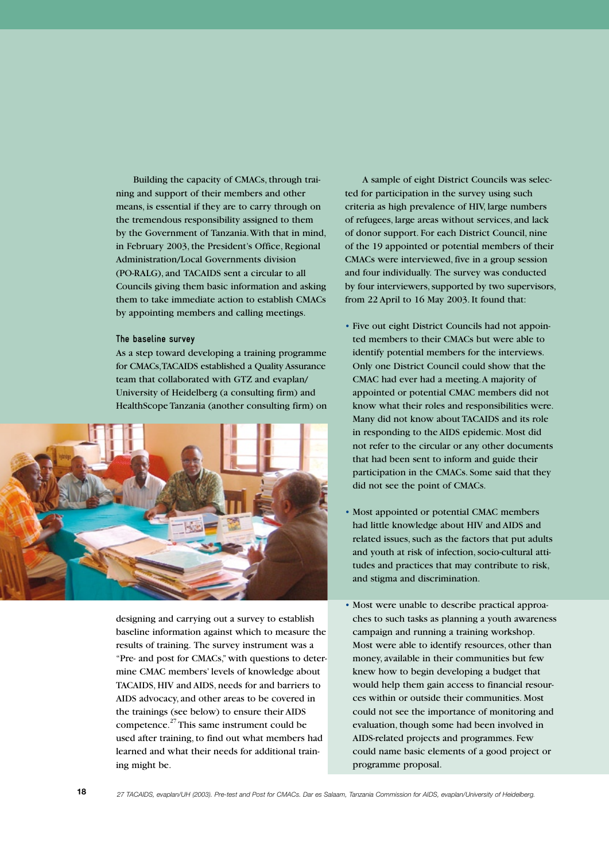Building the capacity of CMACs, through training and support of their members and other means, is essential if they are to carry through on the tremendous responsibility assigned to them by the Government of Tanzania. With that in mind, in February 2003, the President's Office, Regional Administration/Local Governments division (PO-RALG), and TACAIDS sent a circular to all Councils giving them basic information and asking them to take immediate action to establish CMACs by appointing members and calling meetings.

#### **The baseline survey**

As a step toward developing a training programme for CMACs, TACAIDS established a Quality Assurance team that collaborated with GTZ and evaplan/ University of Heidelberg (a consulting firm) and HealthScope Tanzania (another consulting firm) on



designing and carrying out a survey to establish baseline information against which to measure the results of training. The survey instrument was a "Pre- and post for CMACs," with questions to determine CMAC members' levels of knowledge about TACAIDS, HIV and AIDS, needs for and barriers to AIDS advocacy, and other areas to be covered in the trainings (see below) to ensure their AIDS competence.<sup>27</sup> This same instrument could be used after training, to find out what members had learned and what their needs for additional training might be.

A sample of eight District Councils was selected for participation in the survey using such criteria as high prevalence of HIV, large numbers of refugees, large areas without services, and lack of donor support. For each District Council, nine of the 19 appointed or potential members of their CMACs were interviewed, five in a group session and four individually. The survey was conducted by four interviewers, supported by two supervisors, from 22 April to 16 May 2003. It found that:

- Five out eight District Councils had not appointed members to their CMACs but were able to identify potential members for the interviews. Only one District Council could show that the CMAC had ever had a meeting. A majority of appointed or potential CMAC members did not know what their roles and responsibilities were. Many did not know about TACAIDS and its role in responding to the AIDS epidemic. Most did not refer to the circular or any other documents that had been sent to inform and guide their participation in the CMACs. Some said that they did not see the point of CMACs.
- Most appointed or potential CMAC members had little knowledge about HIV and AIDS and related issues, such as the factors that put adults and youth at risk of infection, socio-cultural attitudes and practices that may contribute to risk, and stigma and discrimination.
- Most were unable to describe practical approaches to such tasks as planning a youth awareness campaign and running a training workshop. Most were able to identify resources, other than money, available in their communities but few knew how to begin developing a budget that would help them gain access to financial resources within or outside their communities. Most could not see the importance of monitoring and evaluation, though some had been involved in AIDS-related projects and programmes. Few could name basic elements of a good project or programme proposal.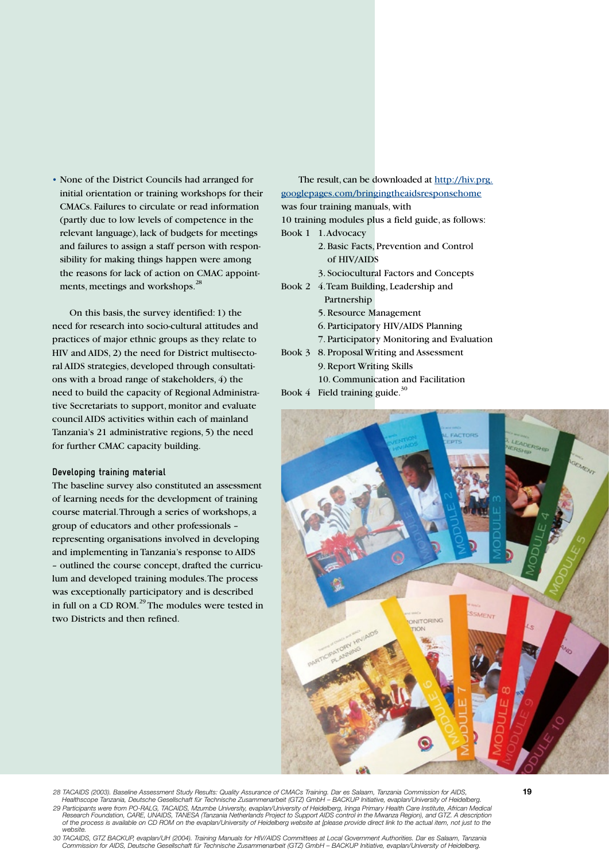• None of the District Councils had arranged for initial orientation or training workshops for their CMACs. Failures to circulate or read information (partly due to low levels of competence in the relevant language), lack of budgets for meetings and failures to assign a staff person with responsibility for making things happen were among the reasons for lack of action on CMAC appointments, meetings and workshops.<sup>28</sup>

On this basis, the survey identified: 1) the need for research into socio-cultural attitudes and practices of major ethnic groups as they relate to HIV and AIDS, 2) the need for District multisectoral AIDS strategies, developed through consultations with a broad range of stakeholders, 4) the need to build the capacity of Regional Administrative Secretariats to support, monitor and evaluate council AIDS activities within each of mainland Tanzania's 21 administrative regions, 5) the need for further CMAC capacity building.

#### **Developing training material**

The baseline survey also constituted an assessment of learning needs for the development of training course material. Through a series of workshops, a group of educators and other professionals – representing organisations involved in developing and implementing in Tanzania's response to AIDS – outlined the course concept, drafted the curriculum and developed training modules. The process was exceptionally participatory and is described in full on a CD ROM.29 The modules were tested in two Districts and then refined.

The result, can be downloaded at http://hiv.prg. googlepages.com/bringingtheaidsresponsehome was four training manuals, with 10 training modules plus a field guide, as follows: Book 1 1. Advocacy

- 2. Basic Facts, Prevention and Control of HIV/AIDS
- 3. Sociocultural Factors and Concepts

Book 2 4. Team Building, Leadership and Partnership

- 5. Resource Management
- 6. Participatory HIV/AIDS Planning
- 7. Participatory Monitoring and Evaluation
- Book 3 8. Proposal Writing and Assessment 9. Report Writing Skills
	- 10. Communication and Facilitation
- Book  $4$  Field training guide.<sup>30</sup>



28 TACAIDS (2003). Baseline Assessment Study Results: Quality Assurance of CMACs Training. Dar es Salaam, Tanzania Commission for AIDS,<br>Healthscope Tanzania, Deutsche Gesellschaft für Technische Zusammenarbeit (GTZ) GmbH –

*29 Participants were from PO-RALG, TACAIDS, Mzumbe University, evaplan/University of Heidelberg, Iringa Primary Health Care Institute, African Medical Research Foundation, CARE, UNAIDS, TANESA (Tanzania Netherlands Project to Support AIDS control in the Mwanza Region), and GTZ. A description*  of the process is available on CD ROM on the evaplan/University of Heidelberg website at [please provide direct link to the actual item, not just to the *website.*

*30 TACAIDS, GTZ BACKUP, evaplan/UH (2004). Training Manuals for HIV/AIDS Committees at Local Government Authorities. Dar es Salaam, Tanzania Commission for AIDS, Deutsche Gesellschaft für Technische Zusammenarbeit (GTZ) GmbH – BACKUP Initiative, evaplan/University of Heidelberg.*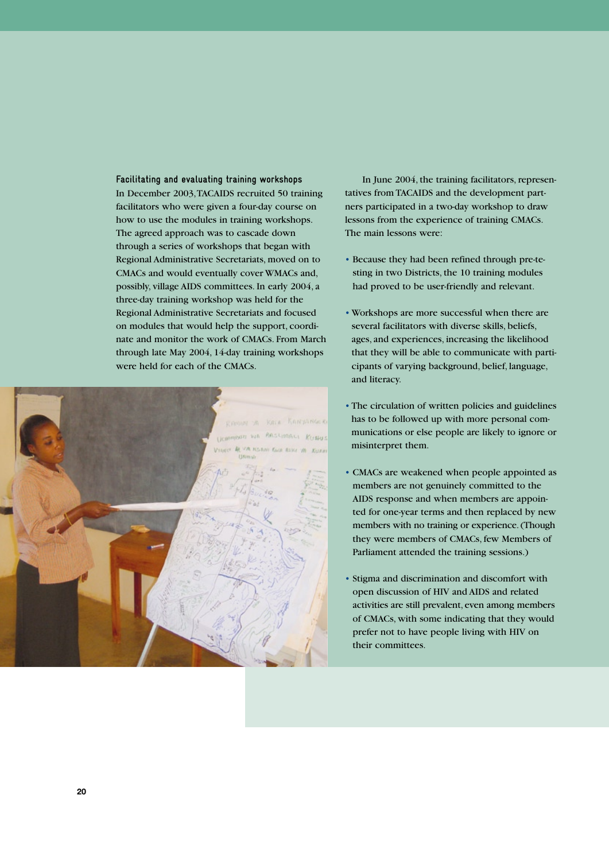**Facilitating and evaluating training workshops**  In December 2003, TACAIDS recruited 50 training facilitators who were given a four-day course on how to use the modules in training workshops. The agreed approach was to cascade down through a series of workshops that began with Regional Administrative Secretariats, moved on to CMACs and would eventually cover WMACs and, possibly, village AIDS committees. In early 2004, a three-day training workshop was held for the Regional Administrative Secretariats and focused on modules that would help the support, coordinate and monitor the work of CMACs. From March through late May 2004, 14-day training workshops were held for each of the CMACs.



In June 2004, the training facilitators, representatives from TACAIDS and the development partners participated in a two-day workshop to draw lessons from the experience of training CMACs. The main lessons were:

- Because they had been refined through pre-testing in two Districts, the 10 training modules had proved to be user-friendly and relevant.
- Workshops are more successful when there are several facilitators with diverse skills, beliefs, ages, and experiences, increasing the likelihood that they will be able to communicate with participants of varying background, belief, language, and literacy.
- The circulation of written policies and guidelines has to be followed up with more personal communications or else people are likely to ignore or misinterpret them.
- CMACs are weakened when people appointed as members are not genuinely committed to the AIDS response and when members are appointed for one-year terms and then replaced by new members with no training or experience. (Though they were members of CMACs, few Members of Parliament attended the training sessions.)
- Stigma and discrimination and discomfort with open discussion of HIV and AIDS and related activities are still prevalent, even among members of CMACs, with some indicating that they would prefer not to have people living with HIV on their committees.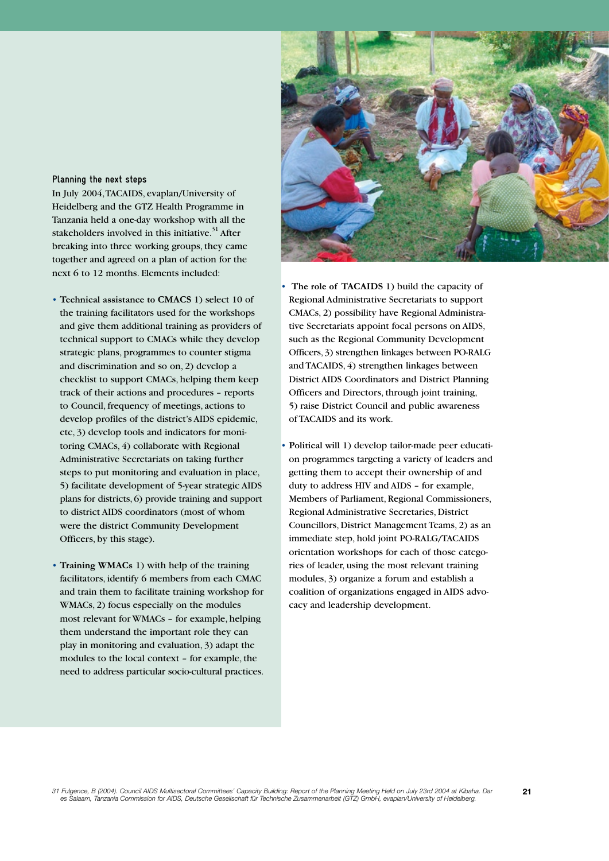#### **Planning the next steps**

In July 2004, TACAIDS, evaplan/University of Heidelberg and the GTZ Health Programme in Tanzania held a one-day workshop with all the stakeholders involved in this initiative.<sup>31</sup> After breaking into three working groups, they came together and agreed on a plan of action for the next 6 to 12 months. Elements included:

- **Technical assistance to CMACS** 1) select 10 of the training facilitators used for the workshops and give them additional training as providers of technical support to CMACs while they develop strategic plans, programmes to counter stigma and discrimination and so on, 2) develop a checklist to support CMACs, helping them keep track of their actions and procedures – reports to Council, frequency of meetings, actions to develop profiles of the district's AIDS epidemic, etc, 3) develop tools and indicators for monitoring CMACs, 4) collaborate with Regional Administrative Secretariats on taking further steps to put monitoring and evaluation in place, 5) facilitate development of 5-year strategic AIDS plans for districts, 6) provide training and support to district AIDS coordinators (most of whom were the district Community Development Officers, by this stage).
- **Training WMACs** 1) with help of the training facilitators, identify 6 members from each CMAC and train them to facilitate training workshop for WMACs, 2) focus especially on the modules most relevant for WMACs – for example, helping them understand the important role they can play in monitoring and evaluation, 3) adapt the modules to the local context – for example, the need to address particular socio-cultural practices.



• **The role of TACAIDS** 1) build the capacity of Regional Administrative Secretariats to support CMACs, 2) possibility have Regional Administrative Secretariats appoint focal persons on AIDS, such as the Regional Community Development Officers, 3) strengthen linkages between PO-RALG and TACAIDS, 4) strengthen linkages between District AIDS Coordinators and District Planning Officers and Directors, through joint training, 5) raise District Council and public awareness of TACAIDS and its work.

• **Political will** 1) develop tailor-made peer education programmes targeting a variety of leaders and getting them to accept their ownership of and duty to address HIV and AIDS – for example, Members of Parliament, Regional Commissioners, Regional Administrative Secretaries, District Councillors, District Management Teams, 2) as an immediate step, hold joint PO-RALG/TACAIDS orientation workshops for each of those categories of leader, using the most relevant training modules, 3) organize a forum and establish a coalition of organizations engaged in AIDS advocacy and leadership development.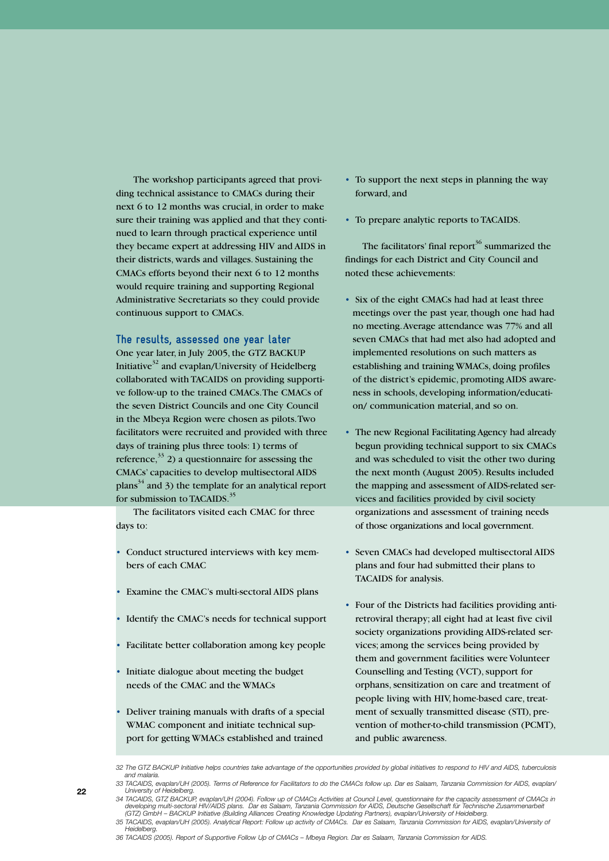The workshop participants agreed that providing technical assistance to CMACs during their next 6 to 12 months was crucial, in order to make sure their training was applied and that they continued to learn through practical experience until they became expert at addressing HIV and AIDS in their districts, wards and villages. Sustaining the CMACs efforts beyond their next 6 to 12 months would require training and supporting Regional Administrative Secretariats so they could provide continuous support to CMACs.

**The results, assessed one year later** One year later, in July 2005, the GTZ BACKUP Initiative $3^2$  and evaplan/University of Heidelberg collaborated with TACAIDS on providing supportive follow-up to the trained CMACs. The CMACs of the seven District Councils and one City Council in the Mbeya Region were chosen as pilots. Two facilitators were recruited and provided with three days of training plus three tools: 1) terms of reference,  $33$  2) a questionnaire for assessing the CMACs' capacities to develop multisectoral AIDS plans $34$  and 3) the template for an analytical report for submission to TACAIDS.<sup>35</sup>

The facilitators visited each CMAC for three days to:

- Conduct structured interviews with key members of each CMAC
- Examine the CMAC's multi-sectoral AIDS plans
- Identify the CMAC's needs for technical support
- Facilitate better collaboration among key people
- Initiate dialogue about meeting the budget needs of the CMAC and the WMACs
- Deliver training manuals with drafts of a special WMAC component and initiate technical support for getting WMACs established and trained
- To support the next steps in planning the way forward, and
- To prepare analytic reports to TACAIDS.

The facilitators' final report<sup>36</sup> summarized the findings for each District and City Council and noted these achievements:

- Six of the eight CMACs had had at least three meetings over the past year, though one had had no meeting. Average attendance was 77% and all seven CMACs that had met also had adopted and implemented resolutions on such matters as establishing and training WMACs, doing profiles of the district's epidemic, promoting AIDS awareness in schools, developing information/education/ communication material, and so on.
- The new Regional Facilitating Agency had already begun providing technical support to six CMACs and was scheduled to visit the other two during the next month (August 2005). Results included the mapping and assessment of AIDS-related services and facilities provided by civil society organizations and assessment of training needs of those organizations and local government.
- Seven CMACs had developed multisectoral AIDS plans and four had submitted their plans to TACAIDS for analysis.
- Four of the Districts had facilities providing antiretroviral therapy; all eight had at least five civil society organizations providing AIDS-related services; among the services being provided by them and government facilities were Volunteer Counselling and Testing (VCT), support for orphans, sensitization on care and treatment of people living with HIV, home-based care, treatment of sexually transmitted disease (STI), prevention of mother-to-child transmission (PCMT), and public awareness.

*Heidelberg. 36 TACAIDS (2005). Report of Supportive Follow Up of CMACs – Mbeya Region. Dar es Salaam, Tanzania Commission for AIDS.* 

*<sup>32</sup> The GTZ BACKUP Initiative helps countries take advantage of the opportunities provided by global initiatives to respond to HIV and AIDS, tuberculosis and malaria.* 

*<sup>33</sup> TACAIDS, evaplan/UH (2005). Terms of Reference for Facilitators to do the CMACs follow up. Dar es Salaam, Tanzania Commission for AIDS, evaplan/ University of Heidelberg. 34 TACAIDS, GTZ BACKUP, evaplan/UH (2004). Follow up of CMACs Activities at Council Level, questionnaire for the capacity assessment of CMACs in* 

developing multi-sectoral HIV/AIDS plans. Dar es Salaam, Tanzania Commission for AIDS, Deutsche Gesellschaft für Technische Zusammenarbeit<br>(GTZ) GmbH – BACKUP Initiative (Building Alliances Creating Knowledge Updating Par 35 TACAIDS, evaplan/UH (2005). Analytical Report: Follow up activity of CMACs. Dar es Salaam, Tanzania Commission for AIDS, evaplan/University of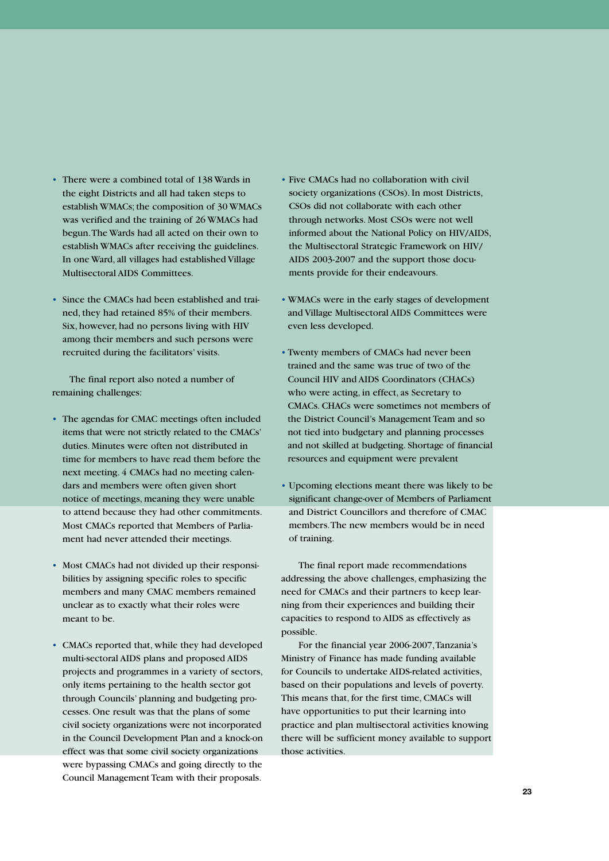- There were a combined total of 138 Wards in the eight Districts and all had taken steps to establish WMACs; the composition of 30 WMACs was verified and the training of 26 WMACs had begun. The Wards had all acted on their own to establish WMACs after receiving the guidelines. In one Ward, all villages had established Village Multisectoral AIDS Committees.
- Since the CMACs had been established and trained, they had retained 85% of their members. Six, however, had no persons living with HIV among their members and such persons were recruited during the facilitators' visits.

The final report also noted a number of remaining challenges:

- The agendas for CMAC meetings often included items that were not strictly related to the CMACs' duties. Minutes were often not distributed in time for members to have read them before the next meeting. 4 CMACs had no meeting calendars and members were often given short notice of meetings, meaning they were unable to attend because they had other commitments. Most CMACs reported that Members of Parliament had never attended their meetings.
- Most CMACs had not divided up their responsibilities by assigning specific roles to specific members and many CMAC members remained unclear as to exactly what their roles were meant to be.
- CMACs reported that, while they had developed multi-sectoral AIDS plans and proposed AIDS projects and programmes in a variety of sectors, only items pertaining to the health sector got through Councils' planning and budgeting processes. One result was that the plans of some civil society organizations were not incorporated in the Council Development Plan and a knock-on effect was that some civil society organizations were bypassing CMACs and going directly to the Council Management Team with their proposals.
- Five CMACs had no collaboration with civil society organizations (CSOs). In most Districts, CSOs did not collaborate with each other through networks. Most CSOs were not well informed about the National Policy on HIV/AIDS, the Multisectoral Strategic Framework on HIV/ AIDS 2003-2007 and the support those documents provide for their endeavours.
- WMACs were in the early stages of development and Village Multisectoral AIDS Committees were even less developed.
- Twenty members of CMACs had never been trained and the same was true of two of the Council HIV and AIDS Coordinators (CHACs) who were acting, in effect, as Secretary to CMACs. CHACs were sometimes not members of the District Council's Management Team and so not tied into budgetary and planning processes and not skilled at budgeting. Shortage of financial resources and equipment were prevalent
- Upcoming elections meant there was likely to be significant change-over of Members of Parliament and District Councillors and therefore of CMAC members. The new members would be in need of training.

The final report made recommendations addressing the above challenges, emphasizing the need for CMACs and their partners to keep learning from their experiences and building their capacities to respond to AIDS as effectively as possible.

For the financial year 2006-2007, Tanzania's Ministry of Finance has made funding available for Councils to undertake AIDS-related activities, based on their populations and levels of poverty. This means that, for the first time, CMACs will have opportunities to put their learning into practice and plan multisectoral activities knowing there will be sufficient money available to support those activities.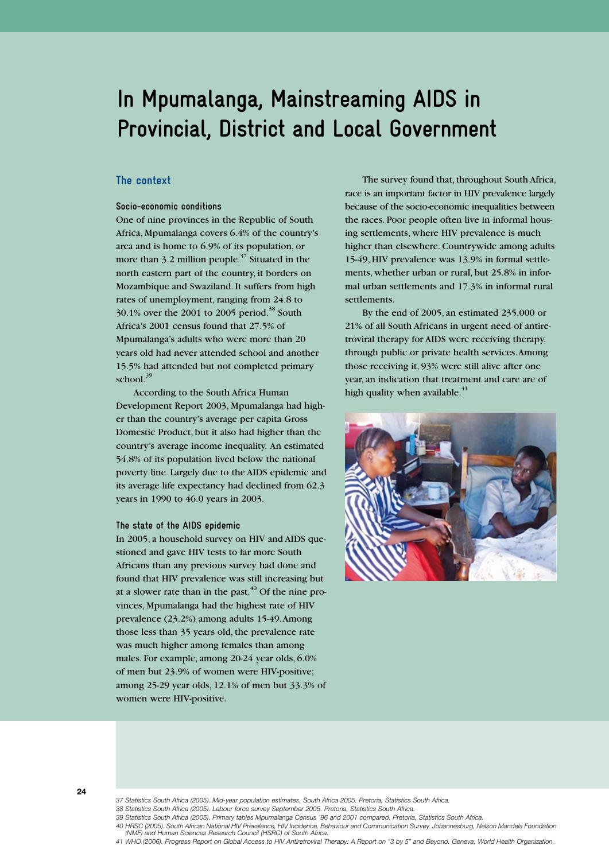# **In Mpumalanga, Mainstreaming AIDS in Provincial, District and Local Government**

### **The context**

#### **Socio-economic conditions**

One of nine provinces in the Republic of South Africa, Mpumalanga covers 6.4% of the country's area and is home to 6.9% of its population, or more than 3.2 million people.<sup>37</sup> Situated in the north eastern part of the country, it borders on Mozambique and Swaziland. It suffers from high rates of unemployment, ranging from 24.8 to  $30.1\%$  over the 2001 to 2005 period.<sup>38</sup> South Africa's 2001 census found that 27.5% of Mpumalanga's adults who were more than 20 years old had never attended school and another 15.5% had attended but not completed primary school. $39$ 

According to the South Africa Human Development Report 2003, Mpumalanga had higher than the country's average per capita Gross Domestic Product, but it also had higher than the country's average income inequality. An estimated 54.8% of its population lived below the national poverty line. Largely due to the AIDS epidemic and its average life expectancy had declined from 62.3 years in 1990 to 46.0 years in 2003.

#### **The state of the AIDS epidemic**

In 2005, a household survey on HIV and AIDS questioned and gave HIV tests to far more South Africans than any previous survey had done and found that HIV prevalence was still increasing but at a slower rate than in the past. $40^{\circ}$  Of the nine provinces, Mpumalanga had the highest rate of HIV prevalence (23.2%) among adults 15-49. Among those less than 35 years old, the prevalence rate was much higher among females than among males. For example, among 20-24 year olds, 6.0% of men but 23.9% of women were HIV-positive; among 25-29 year olds, 12.1% of men but 33.3% of women were HIV-positive.

The survey found that, throughout South Africa, race is an important factor in HIV prevalence largely because of the socio-economic inequalities between the races. Poor people often live in informal housing settlements, where HIV prevalence is much higher than elsewhere. Countrywide among adults 15-49, HIV prevalence was 13.9% in formal settlements, whether urban or rural, but 25.8% in informal urban settlements and 17.3% in informal rural settlements.

By the end of 2005, an estimated 235,000 or 21% of all South Africans in urgent need of antiretroviral therapy for AIDS were receiving therapy, through public or private health services. Among those receiving it, 93% were still alive after one year, an indication that treatment and care are of high quality when available. $41$ 





*38 Statistics South Africa (2005). Labour force survey September 2005. Pretoria, Statistics South Africa.*

*41 WHO (2006). Progress Report on Global Access to HIV Antiretroviral Therapy: A Report on "3 by 5" and Beyond. Geneva, World Health Organization.* 

*<sup>39</sup> Statistics South Africa (2005). Primary tables Mpumalanga Census '96 and 2001 compared. Pretoria, Statistics South Africa.*

*<sup>40</sup> HRSC (2005). South African National HIV Prevalence, HIV Incidence, Behaviour and Communication Survey. Johannesburg, Nelson Mandela Foundation (NMF) and Human Sciences Research Council (HSRC) of South Africa.*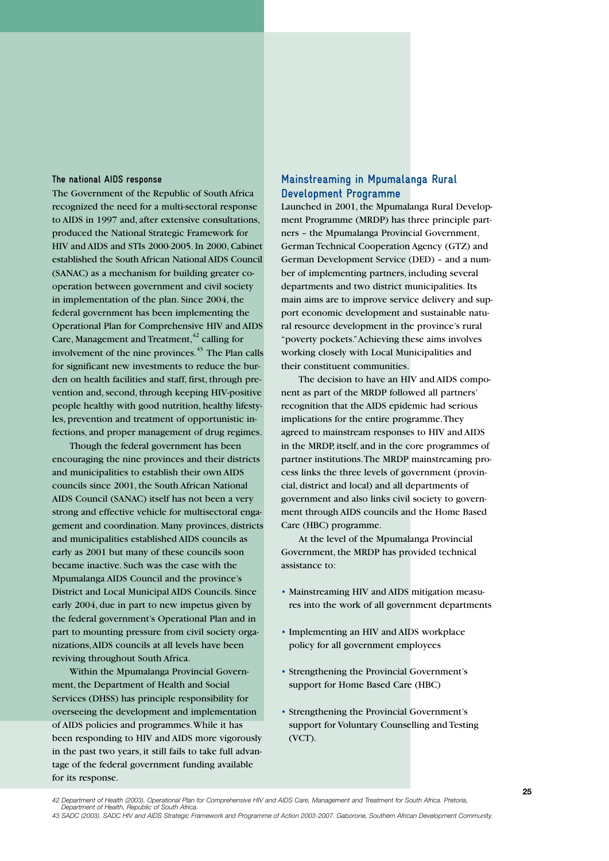#### **The national AIDS response**

The Government of the Republic of South Africa recognized the need for a multi-sectoral response to AIDS in 1997 and, after extensive consultations, produced the National Strategic Framework for HIV and AIDS and STIs 2000-2005. In 2000, Cabinet established the South African National AIDS Council (SANAC) as a mechanism for building greater cooperation between government and civil society in implementation of the plan. Since 2004, the federal government has been implementing the Operational Plan for Comprehensive HIV and AIDS Care, Management and Treatment, $42$  calling for involvement of the nine provinces.<sup>43</sup> The Plan calls for significant new investments to reduce the burden on health facilities and staff, first, through prevention and, second, through keeping HIV-positive people healthy with good nutrition, healthy lifestyles, prevention and treatment of opportunistic infections, and proper management of drug regimes.

Though the federal government has been encouraging the nine provinces and their districts and municipalities to establish their own AIDS councils since 2001, the South African National AIDS Council (SANAC) itself has not been a very strong and effective vehicle for multisectoral engagement and coordination. Many provinces, districts and municipalities established AIDS councils as early as 2001 but many of these councils soon became inactive. Such was the case with the Mpumalanga AIDS Council and the province's District and Local Municipal AIDS Councils. Since early 2004, due in part to new impetus given by the federal government's Operational Plan and in part to mounting pressure from civil society organizations, AIDS councils at all levels have been reviving throughout South Africa.

Within the Mpumalanga Provincial Government, the Department of Health and Social Services (DHSS) has principle responsibility for overseeing the development and implementation of AIDS policies and programmes. While it has been responding to HIV and AIDS more vigorously in the past two years, it still fails to take full advantage of the federal government funding available for its response.

# **Mainstreaming in Mpumalanga Rural Development Programme**

Launched in 2001, the Mpumalanga Rural Development Programme (MRDP) has three principle partners – the Mpumalanga Provincial Government, German Technical Cooperation Agency (GTZ) and German Development Service (DED) – and a number of implementing partners, including several departments and two district municipalities. Its main aims are to improve service delivery and support economic development and sustainable natural resource development in the province's rural "poverty pockets." Achieving these aims involves working closely with Local Municipalities and their constituent communities.

The decision to have an HIV and AIDS component as part of the MRDP followed all partners' recognition that the AIDS epidemic had serious implications for the entire programme. They agreed to mainstream responses to HIV and AIDS in the MRDP, itself, and in the core programmes of partner institutions. The MRDP mainstreaming process links the three levels of government (provincial, district and local) and all departments of government and also links civil society to government through AIDS councils and the Home Based Care (HBC) programme.

At the level of the Mpumalanga Provincial Government, the MRDP has provided technical assistance to:

- Mainstreaming HIV and AIDS mitigation measures into the work of all government departments
- Implementing an HIV and AIDS workplace policy for all government employees
- Strengthening the Provincial Government's support for Home Based Care (HBC)
- Strengthening the Provincial Government's support for Voluntary Counselling and Testing (VCT).

*<sup>42</sup> Department of Health (2003). Operational Plan for Comprehensive HIV and AIDS Care, Management and Treatment for South Africa. Pretoria, Department of Health, Republic of South Africa.*

*<sup>43</sup> SADC (2003). SADC HIV and AIDS Strategic Framework and Programme of Action 2003-2007. Gaborone, Southern African Development Community.*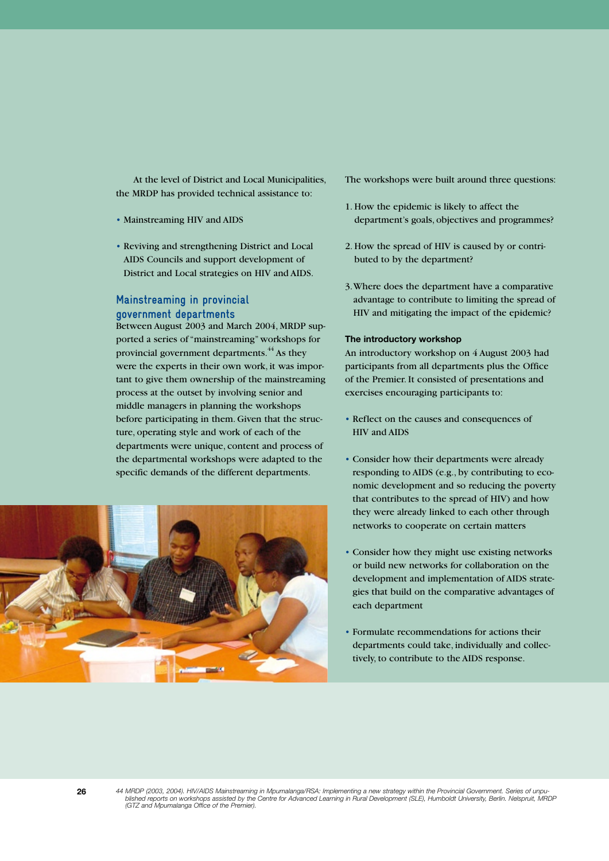At the level of District and Local Municipalities, the MRDP has provided technical assistance to:

- Mainstreaming HIV and AIDS
- Reviving and strengthening District and Local AIDS Councils and support development of District and Local strategies on HIV and AIDS.

# **Mainstreaming in provincial government departments**

Between August 2003 and March 2004, MRDP supported a series of "mainstreaming" workshops for provincial government departments.<sup>44</sup> As they were the experts in their own work, it was important to give them ownership of the mainstreaming process at the outset by involving senior and middle managers in planning the workshops before participating in them. Given that the structure, operating style and work of each of the departments were unique, content and process of the departmental workshops were adapted to the specific demands of the different departments.



The workshops were built around three questions:

- 1. How the epidemic is likely to affect the department's goals, objectives and programmes?
- 2. How the spread of HIV is caused by or contributed to by the department?
- 3. Where does the department have a comparative advantage to contribute to limiting the spread of HIV and mitigating the impact of the epidemic?

#### **The introductory workshop**

An introductory workshop on 4 August 2003 had participants from all departments plus the Office of the Premier. It consisted of presentations and exercises encouraging participants to:

- Reflect on the causes and consequences of HIV and AIDS
- Consider how their departments were already responding to AIDS (e.g., by contributing to economic development and so reducing the poverty that contributes to the spread of HIV) and how they were already linked to each other through networks to cooperate on certain matters
- Consider how they might use existing networks or build new networks for collaboration on the development and implementation of AIDS strategies that build on the comparative advantages of each department
- Formulate recommendations for actions their departments could take, individually and collectively, to contribute to the AIDS response.

**26** *44 MRDP (2003, 2004). HIV/AIDS Mainstreaming in Mpumalanga/RSA: Implementing a new strategy within the Provincial Government. Series of unpublished reports on workshops assisted by the Centre for Advanced Learning in Rural Development (SLE), Humboldt University, Berlin. Nelspruit, MRDP (GTZ and Mpumalanga Office of the Premier).*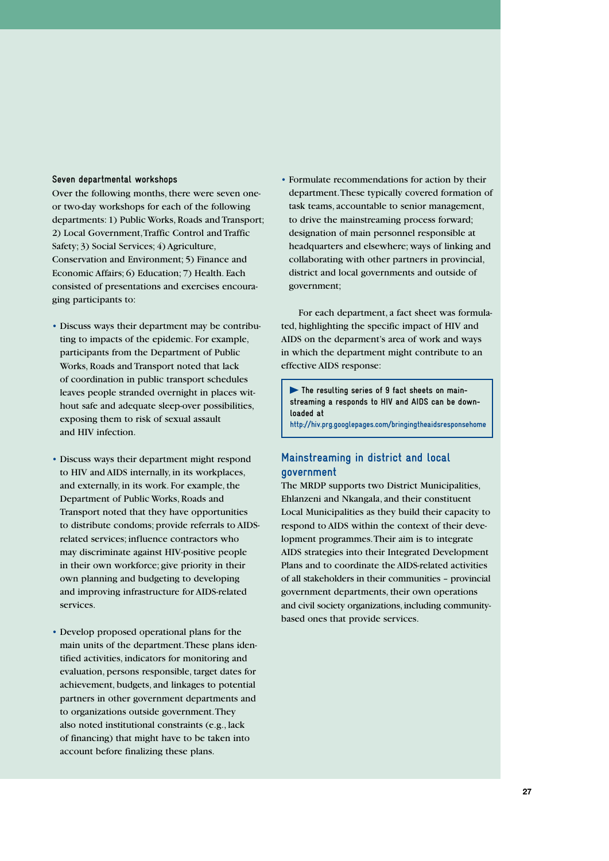#### **Seven departmental workshops**

Over the following months, there were seven oneor two-day workshops for each of the following departments: 1) Public Works, Roads and Transport; 2) Local Government, Traffic Control and Traffic Safety; 3) Social Services; 4) Agriculture, Conservation and Environment; 5) Finance and Economic Affairs; 6) Education; 7) Health. Each consisted of presentations and exercises encouraging participants to:

- Discuss ways their department may be contributing to impacts of the epidemic. For example, participants from the Department of Public Works, Roads and Transport noted that lack of coordination in public transport schedules leaves people stranded overnight in places without safe and adequate sleep-over possibilities, exposing them to risk of sexual assault and HIV infection.
- Discuss ways their department might respond to HIV and AIDS internally, in its workplaces, and externally, in its work. For example, the Department of Public Works, Roads and Transport noted that they have opportunities to distribute condoms; provide referrals to AIDSrelated services; influence contractors who may discriminate against HIV-positive people in their own workforce; give priority in their own planning and budgeting to developing and improving infrastructure for AIDS-related services.
- Develop proposed operational plans for the main units of the department. These plans identified activities, indicators for monitoring and evaluation, persons responsible, target dates for achievement, budgets, and linkages to potential partners in other government departments and to organizations outside government. They also noted institutional constraints (e.g., lack of financing) that might have to be taken into account before finalizing these plans.

• Formulate recommendations for action by their department. These typically covered formation of task teams, accountable to senior management, to drive the mainstreaming process forward; designation of main personnel responsible at headquarters and elsewhere; ways of linking and collaborating with other partners in provincial, district and local governments and outside of government;

For each department, a fact sheet was formulated, highlighting the specific impact of HIV and AIDS on the deparment's area of work and ways in which the department might contribute to an effective AIDS response:

**The resulting series of 9 fact sheets on mainstreaming a responds to HIV and AIDS can be downloaded at**

**http://hiv.prg.googlepages.com/bringingtheaidsresponsehome**

# **Mainstreaming in district and local government**

The MRDP supports two District Municipalities, Ehlanzeni and Nkangala, and their constituent Local Municipalities as they build their capacity to respond to AIDS within the context of their development programmes. Their aim is to integrate AIDS strategies into their Integrated Development Plans and to coordinate the AIDS-related activities of all stakeholders in their communities – provincial government departments, their own operations and civil society organizations, including communitybased ones that provide services.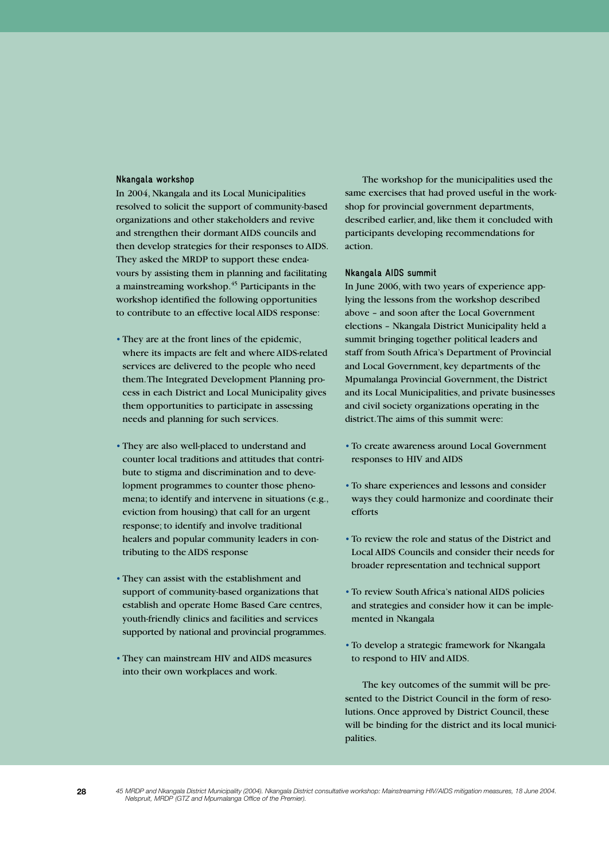#### **Nkangala workshop**

In 2004, Nkangala and its Local Municipalities resolved to solicit the support of community-based organizations and other stakeholders and revive and strengthen their dormant AIDS councils and then develop strategies for their responses to AIDS. They asked the MRDP to support these endeavours by assisting them in planning and facilitating a mainstreaming workshop.45 Participants in the workshop identified the following opportunities to contribute to an effective local AIDS response:

- They are at the front lines of the epidemic, where its impacts are felt and where AIDS-related services are delivered to the people who need them. The Integrated Development Planning process in each District and Local Municipality gives them opportunities to participate in assessing needs and planning for such services.
- They are also well-placed to understand and counter local traditions and attitudes that contribute to stigma and discrimination and to development programmes to counter those phenomena; to identify and intervene in situations (e.g., eviction from housing) that call for an urgent response; to identify and involve traditional healers and popular community leaders in contributing to the AIDS response
- They can assist with the establishment and support of community-based organizations that establish and operate Home Based Care centres, youth-friendly clinics and facilities and services supported by national and provincial programmes.
- They can mainstream HIV and AIDS measures into their own workplaces and work.

The workshop for the municipalities used the same exercises that had proved useful in the workshop for provincial government departments, described earlier, and, like them it concluded with participants developing recommendations for action.

#### **Nkangala AIDS summit**

In June 2006, with two years of experience applying the lessons from the workshop described above – and soon after the Local Government elections – Nkangala District Municipality held a summit bringing together political leaders and staff from South Africa's Department of Provincial and Local Government, key departments of the Mpumalanga Provincial Government, the District and its Local Municipalities, and private businesses and civil society organizations operating in the district. The aims of this summit were:

- To create awareness around Local Government responses to HIV and AIDS
- To share experiences and lessons and consider ways they could harmonize and coordinate their efforts
- To review the role and status of the District and Local AIDS Councils and consider their needs for broader representation and technical support
- To review South Africa's national AIDS policies and strategies and consider how it can be implemented in Nkangala
- To develop a strategic framework for Nkangala to respond to HIV and AIDS.

The key outcomes of the summit will be presented to the District Council in the form of resolutions. Once approved by District Council, these will be binding for the district and its local municipalities.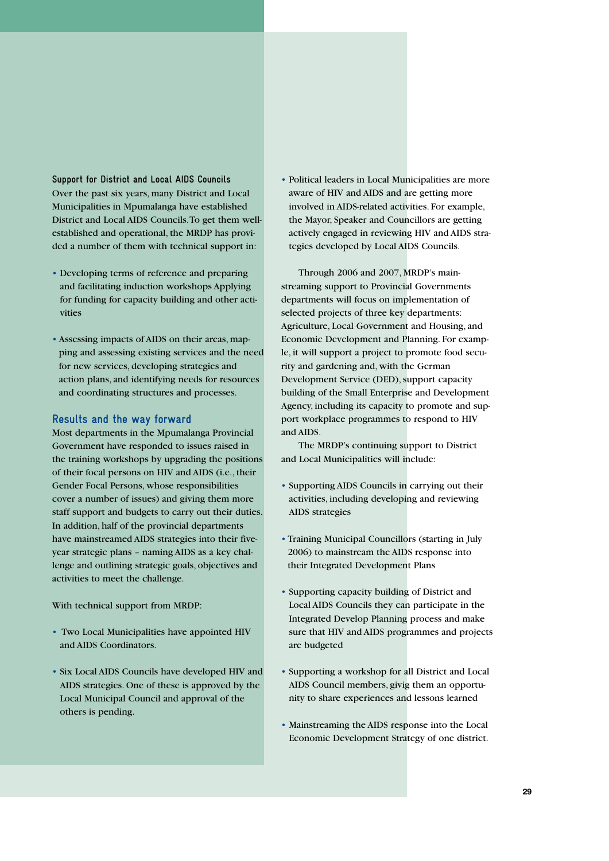**Support for District and Local AIDS Councils** Over the past six years, many District and Local Municipalities in Mpumalanga have established District and Local AIDS Councils. To get them wellestablished and operational, the MRDP has provided a number of them with technical support in:

- Developing terms of reference and preparing and facilitating induction workshops Applying for funding for capacity building and other activities
- Assessing impacts of AIDS on their areas, mapping and assessing existing services and the need for new services, developing strategies and action plans, and identifying needs for resources and coordinating structures and processes.

### **Results and the way forward**

Most departments in the Mpumalanga Provincial Government have responded to issues raised in the training workshops by upgrading the positions of their focal persons on HIV and AIDS (i.e., their Gender Focal Persons, whose responsibilities cover a number of issues) and giving them more staff support and budgets to carry out their duties. In addition, half of the provincial departments have mainstreamed AIDS strategies into their fiveyear strategic plans – naming AIDS as a key challenge and outlining strategic goals, objectives and activities to meet the challenge.

With technical support from MRDP:

- Two Local Municipalities have appointed HIV and AIDS Coordinators.
- Six Local AIDS Councils have developed HIV and AIDS strategies. One of these is approved by the Local Municipal Council and approval of the others is pending.

• Political leaders in Local Municipalities are more aware of HIV and AIDS and are getting more involved in AIDS-related activities. For example, the Mayor, Speaker and Councillors are getting actively engaged in reviewing HIV and AIDS strategies developed by Local AIDS Councils.

Through 2006 and 2007, MRDP's mainstreaming support to Provincial Governments departments will focus on implementation of selected projects of three key departments: Agriculture, Local Government and Housing, and Economic Development and Planning. For example, it will support a project to promote food security and gardening and, with the German Development Service (DED), support capacity building of the Small Enterprise and Development Agency, including its capacity to promote and support workplace programmes to respond to HIV and AIDS.

The MRDP's continuing support to District and Local Municipalities will include:

- Supporting AIDS Councils in carrying out their activities, including developing and reviewing AIDS strategies
- Training Municipal Councillors (starting in July 2006) to mainstream the AIDS response into their Integrated Development Plans
- Supporting capacity building of District and Local AIDS Councils they can participate in the Integrated Develop Planning process and make sure that HIV and AIDS programmes and projects are budgeted
- Supporting a workshop for all District and Local AIDS Council members, givig them an opportunity to share experiences and lessons learned
- Mainstreaming the AIDS response into the Local Economic Development Strategy of one district.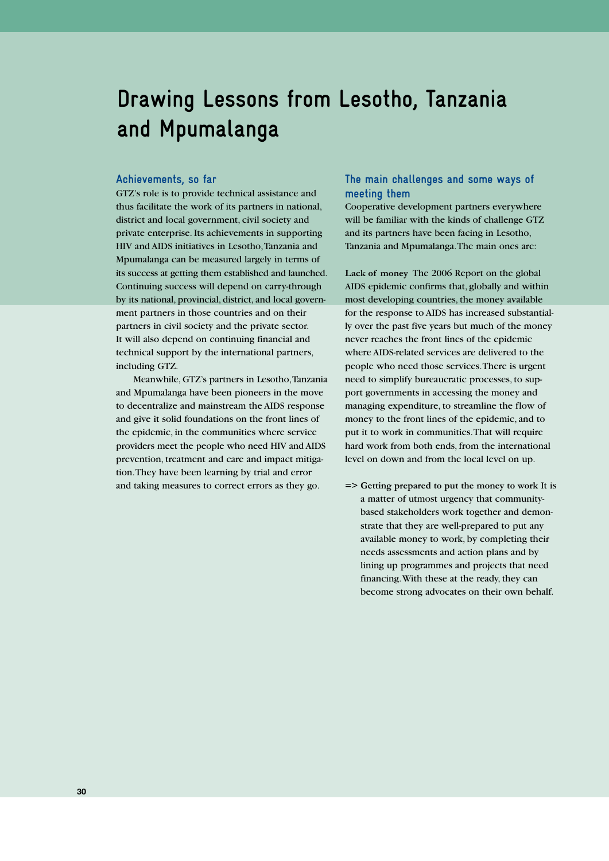# **Drawing Lessons from Lesotho, Tanzania and Mpumalanga**

#### **Achievements, so far**

GTZ's role is to provide technical assistance and thus facilitate the work of its partners in national, district and local government, civil society and private enterprise. Its achievements in supporting HIV and AIDS initiatives in Lesotho, Tanzania and Mpumalanga can be measured largely in terms of its success at getting them established and launched. Continuing success will depend on carry-through by its national, provincial, district, and local government partners in those countries and on their partners in civil society and the private sector. It will also depend on continuing financial and technical support by the international partners, including GTZ.

Meanwhile, GTZ's partners in Lesotho, Tanzania and Mpumalanga have been pioneers in the move to decentralize and mainstream the AIDS response and give it solid foundations on the front lines of the epidemic, in the communities where service providers meet the people who need HIV and AIDS prevention, treatment and care and impact mitigation. They have been learning by trial and error and taking measures to correct errors as they go.

### **The main challenges and some ways of meeting them**

Cooperative development partners everywhere will be familiar with the kinds of challenge GTZ and its partners have been facing in Lesotho, Tanzania and Mpumalanga. The main ones are:

**Lack of money** The 2006 Report on the global AIDS epidemic confirms that, globally and within most developing countries, the money available for the response to AIDS has increased substantially over the past five years but much of the money never reaches the front lines of the epidemic where AIDS-related services are delivered to the people who need those services. There is urgent need to simplify bureaucratic processes, to support governments in accessing the money and managing expenditure, to streamline the flow of money to the front lines of the epidemic, and to put it to work in communities. That will require hard work from both ends, from the international level on down and from the local level on up.

**=> Getting prepared to put the money to work** It is a matter of utmost urgency that communitybased stakeholders work together and demonstrate that they are well-prepared to put any available money to work, by completing their needs assessments and action plans and by lining up programmes and projects that need financing. With these at the ready, they can become strong advocates on their own behalf.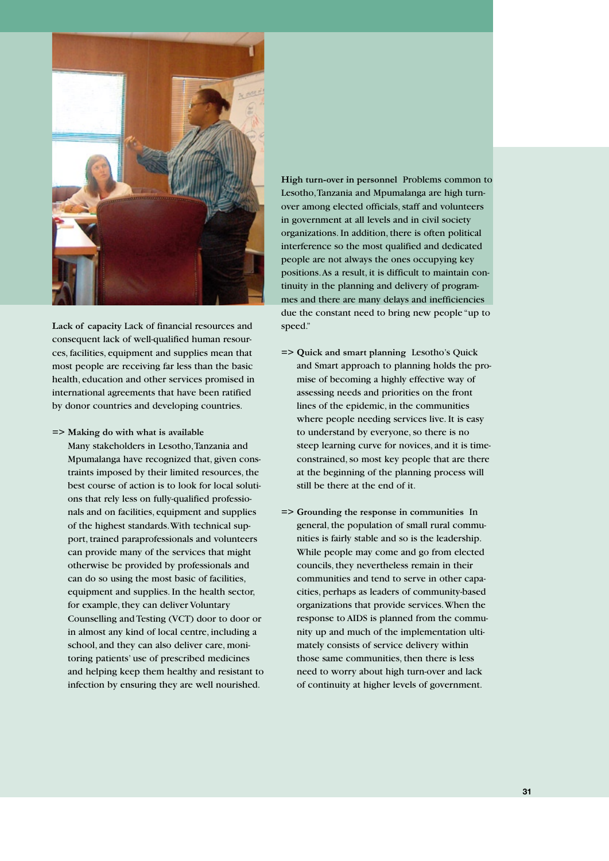

**Lack of capacity** Lack of financial resources and consequent lack of well-qualified human resources, facilities, equipment and supplies mean that most people are receiving far less than the basic health, education and other services promised in international agreements that have been ratified by donor countries and developing countries.

**=> Making do with what is available**

Many stakeholders in Lesotho, Tanzania and Mpumalanga have recognized that, given constraints imposed by their limited resources, the best course of action is to look for local solutions that rely less on fully-qualified professionals and on facilities, equipment and supplies of the highest standards. With technical support, trained paraprofessionals and volunteers can provide many of the services that might otherwise be provided by professionals and can do so using the most basic of facilities, equipment and supplies. In the health sector, for example, they can deliver Voluntary Counselling and Testing (VCT) door to door or in almost any kind of local centre, including a school, and they can also deliver care, monitoring patients' use of prescribed medicines and helping keep them healthy and resistant to infection by ensuring they are well nourished.

**High turn-over in personnel** Problems common to Lesotho, Tanzania and Mpumalanga are high turnover among elected officials, staff and volunteers in government at all levels and in civil society organizations. In addition, there is often political interference so the most qualified and dedicated people are not always the ones occupying key positions. As a result, it is difficult to maintain continuity in the planning and delivery of programmes and there are many delays and inefficiencies due the constant need to bring new people "up to speed."

- **=> Quick and smart planning** Lesotho's Quick and Smart approach to planning holds the promise of becoming a highly effective way of assessing needs and priorities on the front lines of the epidemic, in the communities where people needing services live. It is easy to understand by everyone, so there is no steep learning curve for novices, and it is timeconstrained, so most key people that are there at the beginning of the planning process will still be there at the end of it.
- **=> Grounding the response in communities** In general, the population of small rural communities is fairly stable and so is the leadership. While people may come and go from elected councils, they nevertheless remain in their communities and tend to serve in other capacities, perhaps as leaders of community-based organizations that provide services. When the response to AIDS is planned from the community up and much of the implementation ultimately consists of service delivery within those same communities, then there is less need to worry about high turn-over and lack of continuity at higher levels of government.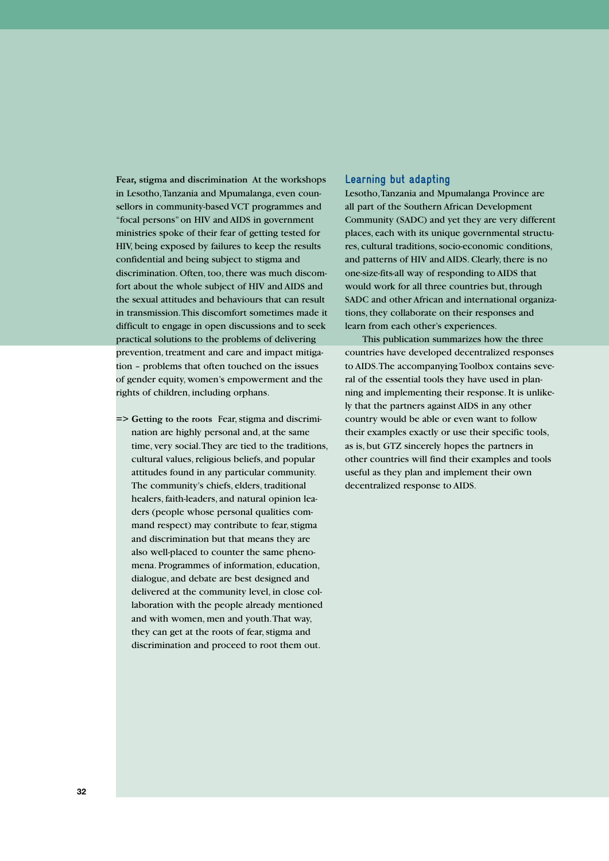**Fear, stigma and discrimination** At the workshops in Lesotho, Tanzania and Mpumalanga, even counsellors in community-based VCT programmes and "focal persons" on HIV and AIDS in government ministries spoke of their fear of getting tested for HIV, being exposed by failures to keep the results confidential and being subject to stigma and discrimination. Often, too, there was much discomfort about the whole subject of HIV and AIDS and the sexual attitudes and behaviours that can result in transmission. This discomfort sometimes made it difficult to engage in open discussions and to seek practical solutions to the problems of delivering prevention, treatment and care and impact mitigation – problems that often touched on the issues of gender equity, women's empowerment and the rights of children, including orphans.

**=> Getting to the roots** Fear, stigma and discrimination are highly personal and, at the same time, very social. They are tied to the traditions, cultural values, religious beliefs, and popular attitudes found in any particular community. The community's chiefs, elders, traditional healers, faith-leaders, and natural opinion leaders (people whose personal qualities command respect) may contribute to fear, stigma and discrimination but that means they are also well-placed to counter the same phenomena. Programmes of information, education, dialogue, and debate are best designed and delivered at the community level, in close collaboration with the people already mentioned and with women, men and youth. That way, they can get at the roots of fear, stigma and discrimination and proceed to root them out.

### **Learning but adapting**

Lesotho, Tanzania and Mpumalanga Province are all part of the Southern African Development Community (SADC) and yet they are very different places, each with its unique governmental structures, cultural traditions, socio-economic conditions, and patterns of HIV and AIDS. Clearly, there is no one-size-fits-all way of responding to AIDS that would work for all three countries but, through SADC and other African and international organizations, they collaborate on their responses and learn from each other's experiences.

This publication summarizes how the three countries have developed decentralized responses to AIDS. The accompanying Toolbox contains several of the essential tools they have used in planning and implementing their response. It is unlikely that the partners against AIDS in any other country would be able or even want to follow their examples exactly or use their specific tools, as is, but GTZ sincerely hopes the partners in other countries will find their examples and tools useful as they plan and implement their own decentralized response to AIDS.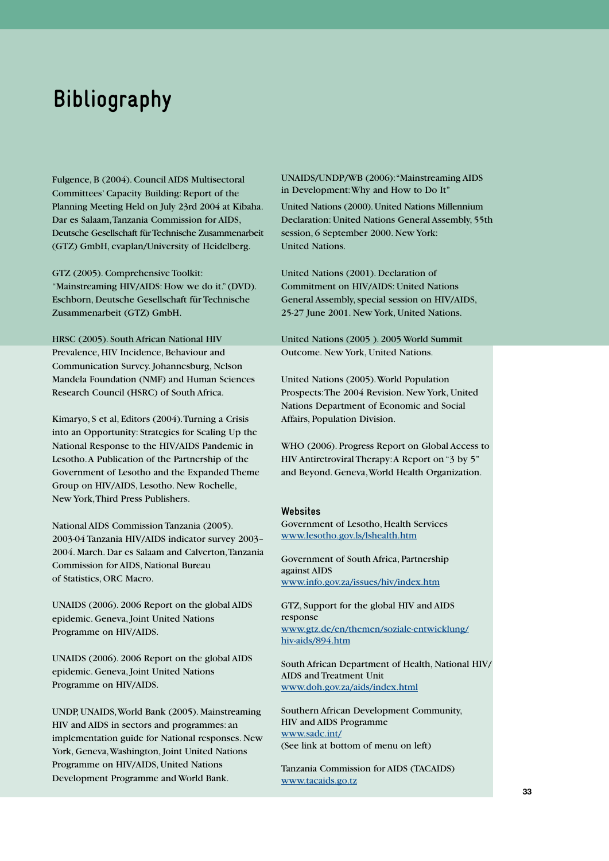# **Bibliography**

Fulgence, B (2004). Council AIDS Multisectoral Committees' Capacity Building: Report of the Planning Meeting Held on July 23rd 2004 at Kibaha. Dar es Salaam, Tanzania Commission for AIDS, Deutsche Gesellschaft für Technische Zusammenarbeit (GTZ) GmbH, evaplan/University of Heidelberg.

GTZ (2005). Comprehensive Toolkit: "Mainstreaming HIV/AIDS: How we do it." (DVD). Eschborn, Deutsche Gesellschaft für Technische Zusammenarbeit (GTZ) GmbH.

HRSC (2005). South African National HIV Prevalence, HIV Incidence, Behaviour and Communication Survey. Johannesburg, Nelson Mandela Foundation (NMF) and Human Sciences Research Council (HSRC) of South Africa.

Kimaryo, S et al, Editors (2004). Turning a Crisis into an Opportunity: Strategies for Scaling Up the National Response to the HIV/AIDS Pandemic in Lesotho. A Publication of the Partnership of the Government of Lesotho and the Expanded Theme Group on HIV/AIDS, Lesotho. New Rochelle, New York, Third Press Publishers.

National AIDS Commission Tanzania (2005). 2003-04 Tanzania HIV/AIDS indicator survey 2003– 2004. March. Dar es Salaam and Calverton, Tanzania Commission for AIDS, National Bureau of Statistics, ORC Macro.

UNAIDS (2006). 2006 Report on the global AIDS epidemic. Geneva, Joint United Nations Programme on HIV/AIDS.

UNAIDS (2006). 2006 Report on the global AIDS epidemic. Geneva, Joint United Nations Programme on HIV/AIDS.

UNDP, UNAIDS, World Bank (2005). Mainstreaming HIV and AIDS in sectors and programmes: an implementation guide for National responses. New York, Geneva, Washington, Joint United Nations Programme on HIV/AIDS, United Nations Development Programme and World Bank.

UNAIDS/UNDP/WB (2006): "Mainstreaming AIDS in Development: Why and How to Do It"

United Nations (2000). United Nations Millennium Declaration: United Nations General Assembly, 55th session, 6 September 2000. New York: United Nations.

United Nations (2001). Declaration of Commitment on HIV/AIDS: United Nations General Assembly, special session on HIV/AIDS, 25-27 June 2001. New York, United Nations.

United Nations (2005 ). 2005 World Summit Outcome. New York, United Nations.

United Nations (2005). World Population Prospects: The 2004 Revision. New York, United Nations Department of Economic and Social Affairs, Population Division.

WHO (2006). Progress Report on Global Access to HIV Antiretroviral Therapy: A Report on "3 by 5" and Beyond. Geneva, World Health Organization.

#### **Websites**

Government of Lesotho, Health Services www.lesotho.gov.ls/lshealth.htm

Government of South Africa, Partnership against AIDS www.info.gov.za/issues/hiv/index.htm

GTZ, Support for the global HIV and AIDS response www.gtz.de/en/themen/soziale-entwicklung/ hiv-aids/894.htm

South African Department of Health, National HIV/ AIDS and Treatment Unit www.doh.gov.za/aids/index.html

Southern African Development Community, HIV and AIDS Programme www.sadc.int/ (See link at bottom of menu on left)

Tanzania Commission for AIDS (TACAIDS) www.tacaids.go.tz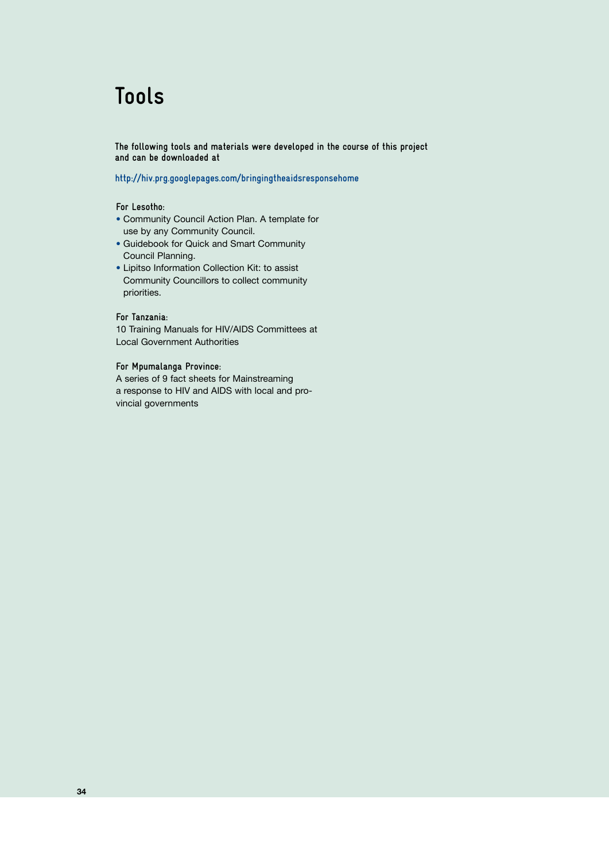# **Tools**

**The following tools and materials were developed in the course of this project and can be downloaded at**

**http://hiv.prg.googlepages.com/bringingtheaidsresponsehome**

#### **For Lesotho:**

- Community Council Action Plan. A template for use by any Community Council.
- Guidebook for Quick and Smart Community Council Planning.
- Lipitso Information Collection Kit: to assist Community Councillors to collect community priorities.

#### **For Tanzania:**

10 Training Manuals for HIV/AIDS Committees at Local Government Authorities

# **For Mpumalanga Province:**

A series of 9 fact sheets for Mainstreaming a response to HIV and AIDS with local and provincial governments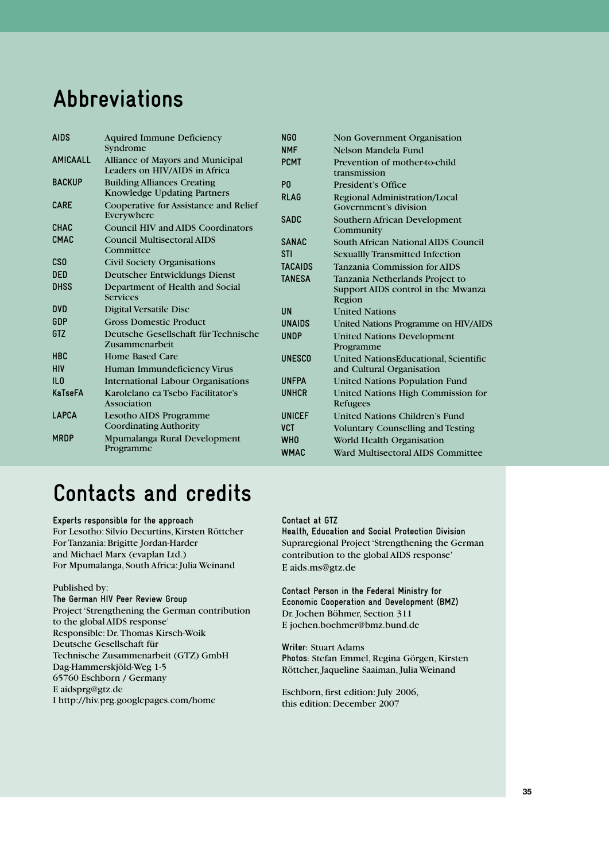# **Abbreviations**

| <b>AIDS</b>     | <b>Aquired Immune Deficiency</b>                                  | <b>NGO</b>     | Non Government Organisation                            |
|-----------------|-------------------------------------------------------------------|----------------|--------------------------------------------------------|
|                 | Syndrome                                                          | <b>NMF</b>     | Nelson Mandela Fund                                    |
| <b>AMICAALL</b> | Alliance of Mayors and Municipal<br>Leaders on HIV/AIDS in Africa | <b>PCMT</b>    | Prevention of mother-to-child<br>transmission          |
| <b>BACKUP</b>   | <b>Building Alliances Creating</b><br>Knowledge Updating Partners | P <sub>0</sub> | President's Office                                     |
| <b>CARE</b>     | Cooperative for Assistance and Relief                             | <b>RLAG</b>    | Regional Administration/Local<br>Government's division |
| <b>CHAC</b>     | Everywhere<br><b>Council HIV and AIDS Coordinators</b>            | <b>SADC</b>    | Southern African Development<br>Community              |
| <b>CMAC</b>     | <b>Council Multisectoral AIDS</b><br>Committee                    | <b>SANAC</b>   | South African National AIDS Council                    |
| <b>CSO</b>      | <b>Civil Society Organisations</b>                                | <b>STI</b>     | <b>Sexuallly Transmitted Infection</b>                 |
| <b>DED</b>      | Deutscher Entwicklungs Dienst                                     | <b>TACAIDS</b> | Tanzania Commission for AIDS                           |
| <b>DHSS</b>     |                                                                   | <b>TANESA</b>  | Tanzania Netherlands Project to                        |
|                 | Department of Health and Social<br><b>Services</b>                |                | Support AIDS control in the Mwanza<br>Region           |
| <b>DVD</b>      | <b>Digital Versatile Disc</b>                                     | <b>UN</b>      | <b>United Nations</b>                                  |
| GDP             | <b>Gross Domestic Product</b>                                     | <b>UNAIDS</b>  | United Nations Programme on HIV/AIDS                   |
| GTZ             | Deutsche Gesellschaft für Technische<br>Zusammenarbeit            | <b>UNDP</b>    | <b>United Nations Development</b><br>Programme         |
| <b>HBC</b>      | Home Based Care                                                   | <b>UNESCO</b>  | United NationsEducational, Scientific                  |
| <b>HIV</b>      | Human Immundeficiency Virus                                       |                | and Cultural Organisation                              |
| ILO             | <b>International Labour Organisations</b>                         | <b>UNFPA</b>   | <b>United Nations Population Fund</b>                  |
| KaTseFA         | Karolelano ea Tsebo Facilitator's<br>Association                  | <b>UNHCR</b>   | United Nations High Commission for<br>Refugees         |
| <b>LAPCA</b>    | Lesotho AIDS Programme                                            | UNICEF         | <b>United Nations Children's Fund</b>                  |
|                 | <b>Coordinating Authority</b>                                     | <b>VCT</b>     | <b>Voluntary Counselling and Testing</b>               |
| <b>MRDP</b>     | Mpumalanga Rural Development                                      | <b>WHO</b>     | World Health Organisation                              |
|                 | Programme                                                         | <b>WMAC</b>    | Ward Multisectoral AIDS Committee                      |
|                 |                                                                   |                |                                                        |

# **Contacts and credits**

**Experts responsible for the approach** For Lesotho: Silvio Decurtins, Kirsten Röttcher For Tanzania: Brigitte Jordan-Harder and Michael Marx (evaplan Ltd.) For Mpumalanga, South Africa: Julia Weinand

#### Published by:

**The German HIV Peer Review Group** Project 'Strengthening the German contribution to the global AIDS response' Responsible: Dr. Thomas Kirsch-Woik Deutsche Gesellschaft für Technische Zusammenarbeit (GTZ) GmbH Dag-Hammerskjöld-Weg 1-5 65760 Eschborn / Germany E aidsprg@gtz.de I http://hiv.prg.googlepages.com/home

#### **Contact at GTZ**

**Health, Education and Social Protection Division** Supraregional Project 'Strengthening the German contribution to the global AIDS response' E aids.ms@gtz.de

**Contact Person in the Federal Ministry for Economic Cooperation and Development (BMZ)** Dr. Jochen Böhmer, Section 311 E jochen.boehmer@bmz.bund.de

**Writer:** Stuart Adams **Photos:** Stefan Emmel, Regina Görgen, Kirsten Röttcher, Jaqueline Saaiman, Julia Weinand

Eschborn, first edition: July 2006, this edition: December 2007